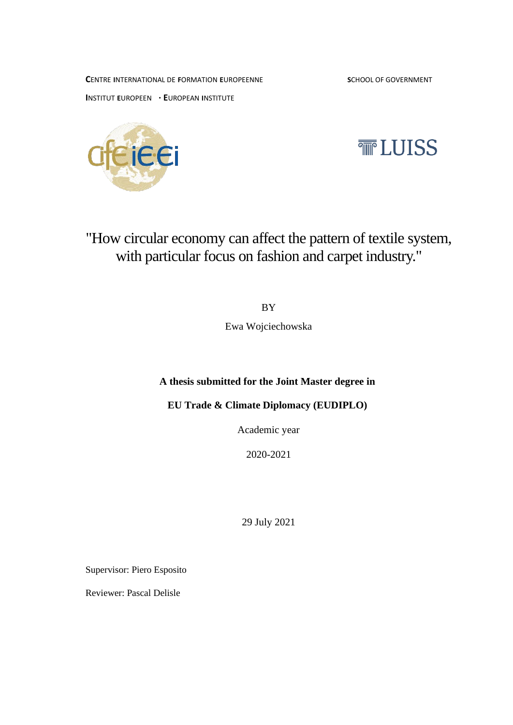**C**ENTRE **I**NTERNATIONAL DE **F**ORMATION **E**UROPEENNE **S**CHOOL OF GOVERNMENT

**I**NSTITUT **E**UROPEEN **· E**UROPEAN **I**NSTITUTE





"How circular economy can affect the pattern of textile system, with particular focus on fashion and carpet industry."

BY

Ewa Wojciechowska

# **A thesis submitted for the Joint Master degree in**

**EU Trade & Climate Diplomacy (EUDIPLO)**

Academic year

2020-2021

29 July 2021

Supervisor: Piero Esposito

Reviewer: Pascal Delisle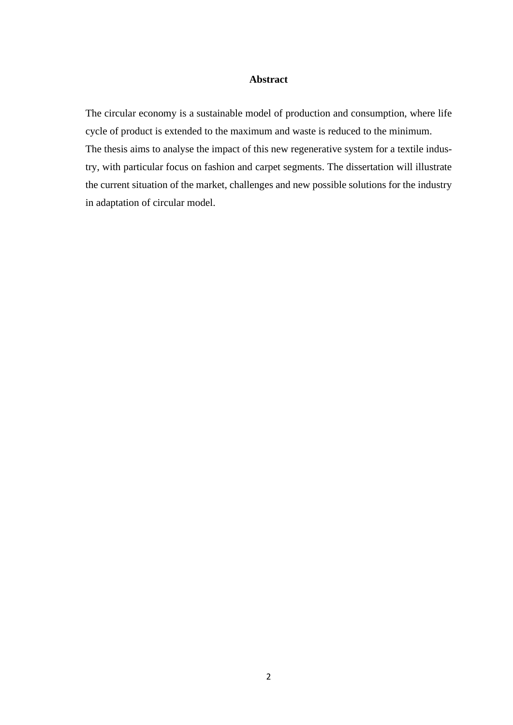## **Abstract**

The circular economy is a sustainable model of production and consumption, where life cycle of product is extended to the maximum and waste is reduced to the minimum. The thesis aims to analyse the impact of this new regenerative system for a textile industry, with particular focus on fashion and carpet segments. The dissertation will illustrate the current situation of the market, challenges and new possible solutions for the industry in adaptation of circular model.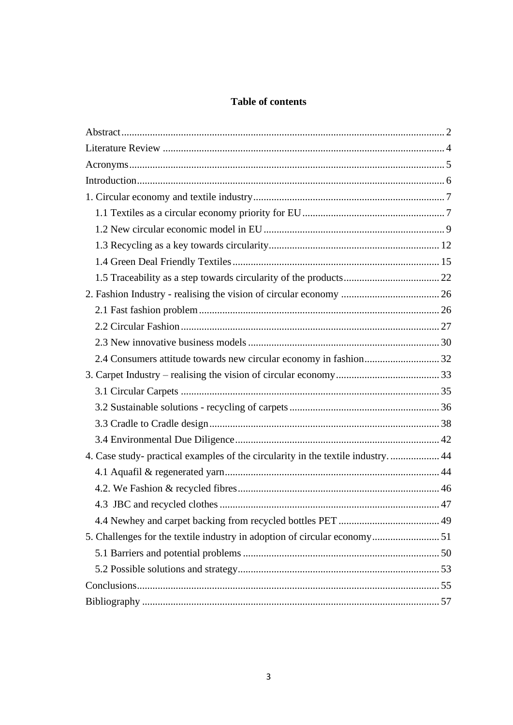# **Table of contents**

| 4. Case study- practical examples of the circularity in the textile industry 44 |  |
|---------------------------------------------------------------------------------|--|
|                                                                                 |  |
|                                                                                 |  |
|                                                                                 |  |
|                                                                                 |  |
| 5. Challenges for the textile industry in adoption of circular economy 51       |  |
|                                                                                 |  |
|                                                                                 |  |
|                                                                                 |  |
|                                                                                 |  |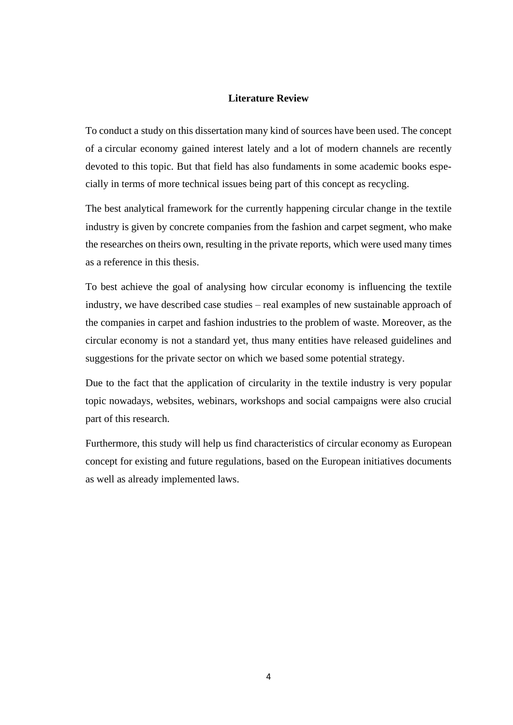#### **Literature Review**

To conduct a study on this dissertation many kind of sources have been used. The concept of a circular economy gained interest lately and a lot of modern channels are recently devoted to this topic. But that field has also fundaments in some academic books especially in terms of more technical issues being part of this concept as recycling.

The best analytical framework for the currently happening circular change in the textile industry is given by concrete companies from the fashion and carpet segment, who make the researches on theirs own, resulting in the private reports, which were used many times as a reference in this thesis.

To best achieve the goal of analysing how circular economy is influencing the textile industry, we have described case studies – real examples of new sustainable approach of the companies in carpet and fashion industries to the problem of waste. Moreover, as the circular economy is not a standard yet, thus many entities have released guidelines and suggestions for the private sector on which we based some potential strategy.

Due to the fact that the application of circularity in the textile industry is very popular topic nowadays, websites, webinars, workshops and social campaigns were also crucial part of this research.

Furthermore, this study will help us find characteristics of circular economy as European concept for existing and future regulations, based on the European initiatives documents as well as already implemented laws.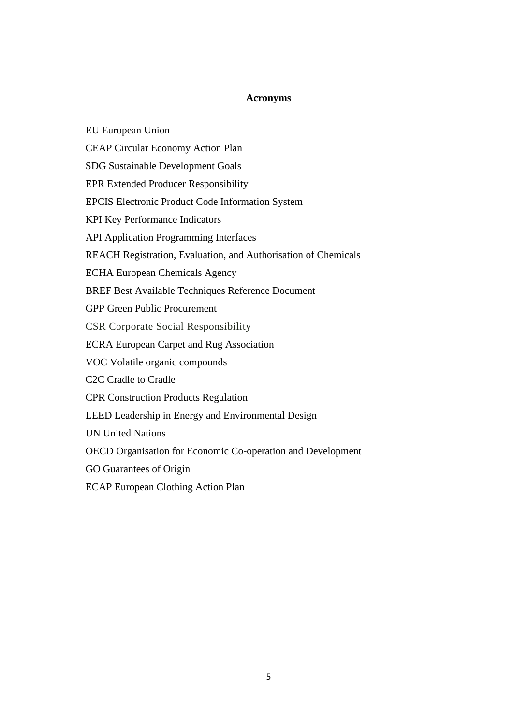## **Acronyms**

CEAP Circular Economy Action Plan SDG Sustainable Development Goals EPR Extended Producer Responsibility EPCIS Electronic Product Code Information System KPI Key Performance Indicators API Application Programming Interfaces REACH Registration, Evaluation, and Authorisation of Chemicals ECHA European Chemicals Agency BREF Best Available Techniques Reference Document GPP Green Public Procurement CSR Corporate Social Responsibility ECRA European Carpet and Rug Association VOC Volatile organic compounds C2C Cradle to Cradle CPR Construction Products Regulation LEED Leadership in Energy and Environmental Design UN United Nations OECD Organisation for Economic Co-operation and Development GO Guarantees of Origin

ECAP European Clothing Action Plan

EU European Union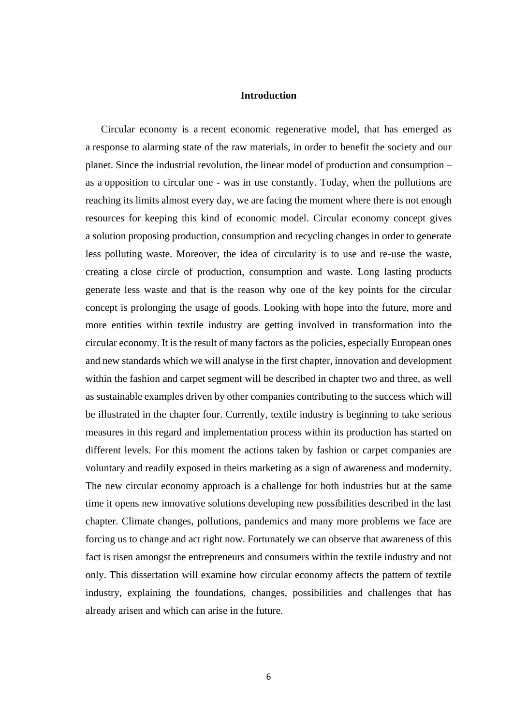#### **Introduction**

 Circular economy is a recent economic regenerative model, that has emerged as a response to alarming state of the raw materials, in order to benefit the society and our planet. Since the industrial revolution, the linear model of production and consumption – as a opposition to circular one - was in use constantly. Today, when the pollutions are reaching its limits almost every day, we are facing the moment where there is not enough resources for keeping this kind of economic model. Circular economy concept gives a solution proposing production, consumption and recycling changes in order to generate less polluting waste. Moreover, the idea of circularity is to use and re-use the waste, creating a close circle of production, consumption and waste. Long lasting products generate less waste and that is the reason why one of the key points for the circular concept is prolonging the usage of goods. Looking with hope into the future, more and more entities within textile industry are getting involved in transformation into the circular economy. It is the result of many factors as the policies, especially European ones and new standards which we will analyse in the first chapter, innovation and development within the fashion and carpet segment will be described in chapter two and three, as well as sustainable examples driven by other companies contributing to the success which will be illustrated in the chapter four. Currently, textile industry is beginning to take serious measures in this regard and implementation process within its production has started on different levels. For this moment the actions taken by fashion or carpet companies are voluntary and readily exposed in theirs marketing as a sign of awareness and modernity. The new circular economy approach is a challenge for both industries but at the same time it opens new innovative solutions developing new possibilities described in the last chapter. Climate changes, pollutions, pandemics and many more problems we face are forcing us to change and act right now. Fortunately we can observe that awareness of this fact is risen amongst the entrepreneurs and consumers within the textile industry and not only. This dissertation will examine how circular economy affects the pattern of textile industry, explaining the foundations, changes, possibilities and challenges that has already arisen and which can arise in the future.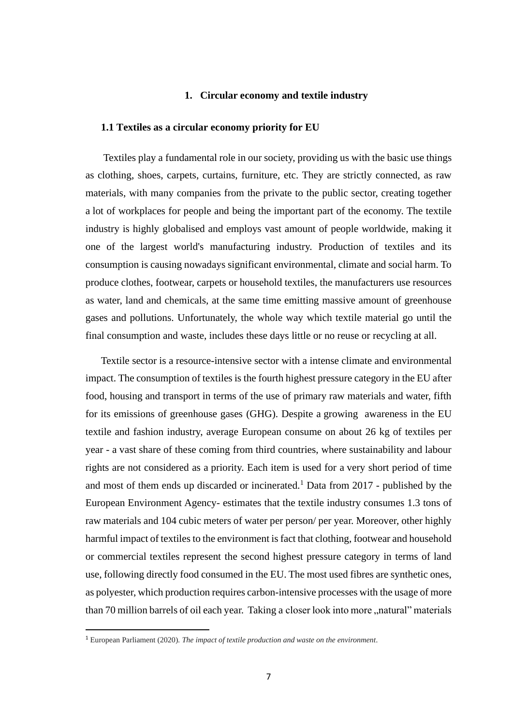#### **1. Circular economy and textile industry**

## **1.1 Textiles as a circular economy priority for EU**

Textiles play a fundamental role in our society, providing us with the basic use things as clothing, shoes, carpets, curtains, furniture, etc. They are strictly connected, as raw materials, with many companies from the private to the public sector, creating together a lot of workplaces for people and being the important part of the economy. The textile industry is highly globalised and employs vast amount of people worldwide, making it one of the largest world's manufacturing industry. Production of textiles and its consumption is causing nowadays significant environmental, climate and social harm. To produce clothes, footwear, carpets or household textiles, the manufacturers use resources as water, land and chemicals, at the same time emitting massive amount of greenhouse gases and pollutions. Unfortunately, the whole way which textile material go until the final consumption and waste, includes these days little or no reuse or recycling at all.

Textile sector is a resource-intensive sector with a intense climate and environmental impact. The consumption of textiles is the fourth highest pressure category in the EU after food, housing and transport in terms of the use of primary raw materials and water, fifth for its emissions of greenhouse gases (GHG). Despite a growing awareness in the EU textile and fashion industry, average European consume on about 26 kg of textiles per year - a vast share of these coming from third countries, where sustainability and labour rights are not considered as a priority. Each item is used for a very short period of time and most of them ends up discarded or incinerated.<sup>1</sup> Data from 2017 - published by the European Environment Agency- estimates that the textile industry consumes 1.3 tons of raw materials and 104 cubic meters of water per person/ per year. Moreover, other highly harmful impact of textiles to the environment is fact that clothing, footwear and household or commercial textiles represent the second highest pressure category in terms of land use, following directly food consumed in the EU. The most used fibres are synthetic ones, as polyester, which production requires carbon-intensive processes with the usage of more than 70 million barrels of oil each year. Taking a closer look into more "natural" materials

<sup>1</sup> European Parliament (2020). *The impact of textile production and waste on the environment.*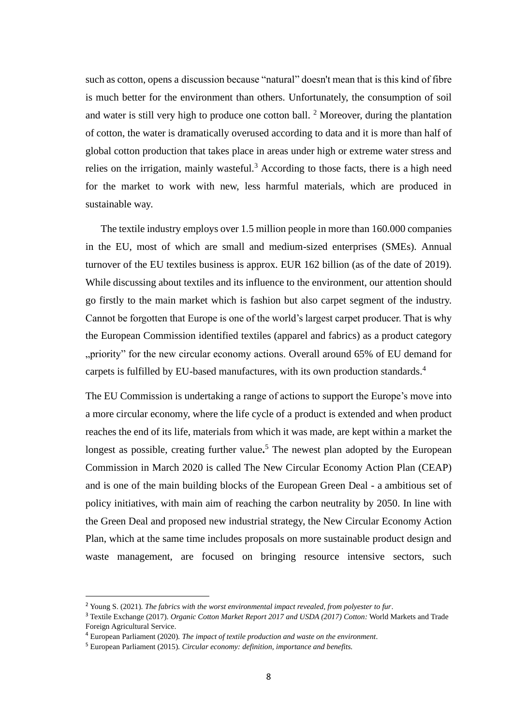such as cotton, opens a discussion because "natural" doesn't mean that is this kind of fibre is much better for the environment than others. Unfortunately, the consumption of soil and water is still very high to produce one cotton ball.  $2^{\circ}$  Moreover, during the plantation of cotton, the water is dramatically overused according to data and it is more than half of global cotton production that takes place in areas under high or extreme water stress and relies on the irrigation, mainly wasteful.<sup>3</sup> According to those facts, there is a high need for the market to work with new, less harmful materials, which are produced in sustainable way.

 The textile industry employs over 1.5 million people in more than 160.000 companies in the EU, most of which are small and medium-sized enterprises (SMEs). Annual turnover of the EU textiles business is approx. EUR 162 billion (as of the date of 2019). While discussing about textiles and its influence to the environment, our attention should go firstly to the main market which is fashion but also carpet segment of the industry. Cannot be forgotten that Europe is one of the world's largest carpet producer. That is why the European Commission identified textiles (apparel and fabrics) as a product category "priority" for the new circular economy actions. Overall around 65% of EU demand for carpets is fulfilled by EU-based manufactures, with its own production standards.<sup>4</sup>

The EU Commission is undertaking a range of actions to support the Europe's move into a more circular economy, where the life cycle of a product is extended and when product reaches the end of its life, materials from which it was made, are kept within a market the longest as possible, creating further value**.** <sup>5</sup> The newest plan adopted by the European Commission in March 2020 is called The New Circular Economy Action Plan (CEAP) and is one of the main building blocks of the European Green Deal - a ambitious set of policy initiatives, with main aim of reaching the carbon neutrality by 2050. In line with the Green Deal and proposed new industrial strategy, the New Circular Economy Action Plan, which at the same time includes proposals on more sustainable product design and waste management, are focused on bringing resource intensive sectors, such

<sup>2</sup> Young S. (2021). *The fabrics with the worst environmental impact revealed, from polyester to fur*.

<sup>3</sup> Textile Exchange (2017). *Organic Cotton Market Report 2017 and USDA (2017) Cotton:* World Markets and Trade Foreign Agricultural Service.

<sup>4</sup> European Parliament (2020). *The impact of textile production and waste on the environment.*

<sup>5</sup> European Parliament (2015). *Circular economy: definition, importance and benefits.*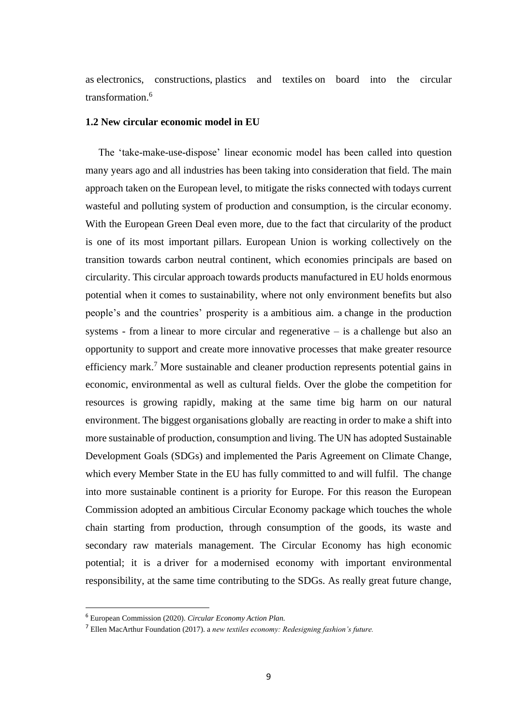as electronics, constructions, plastics and textiles on board into the circular transformation.<sup>6</sup>

## **1.2 New circular economic model in EU**

 The 'take-make-use-dispose' linear economic model has been called into question many years ago and all industries has been taking into consideration that field. The main approach taken on the European level, to mitigate the risks connected with todays current wasteful and polluting system of production and consumption, is the circular economy. With the European Green Deal even more, due to the fact that circularity of the product is one of its most important pillars. European Union is working collectively on the transition towards carbon neutral continent, which economies principals are based on circularity. This circular approach towards products manufactured in EU holds enormous potential when it comes to sustainability, where not only environment benefits but also people's and the countries' prosperity is a ambitious aim. a change in the production systems - from a linear to more circular and regenerative – is a challenge but also an opportunity to support and create more innovative processes that make greater resource efficiency mark.<sup>7</sup> More sustainable and cleaner production represents potential gains in economic, environmental as well as cultural fields. Over the globe the competition for resources is growing rapidly, making at the same time big harm on our natural environment. The biggest organisations globally are reacting in order to make a shift into more sustainable of production, consumption and living. The UN has adopted Sustainable Development Goals (SDGs) and implemented the Paris Agreement on Climate Change, which every Member State in the EU has fully committed to and will fulfil. The change into more sustainable continent is a priority for Europe. For this reason the European Commission adopted an ambitious Circular Economy package which touches the whole chain starting from production, through consumption of the goods, its waste and secondary raw materials management. The Circular Economy has high economic potential; it is a driver for a modernised economy with important environmental responsibility, at the same time contributing to the SDGs. As really great future change,

<sup>6</sup> European Commission (2020). *Circular Economy Action Plan.*

<sup>7</sup> Ellen MacArthur Foundation (2017). a *new textiles economy: Redesigning fashion's future.*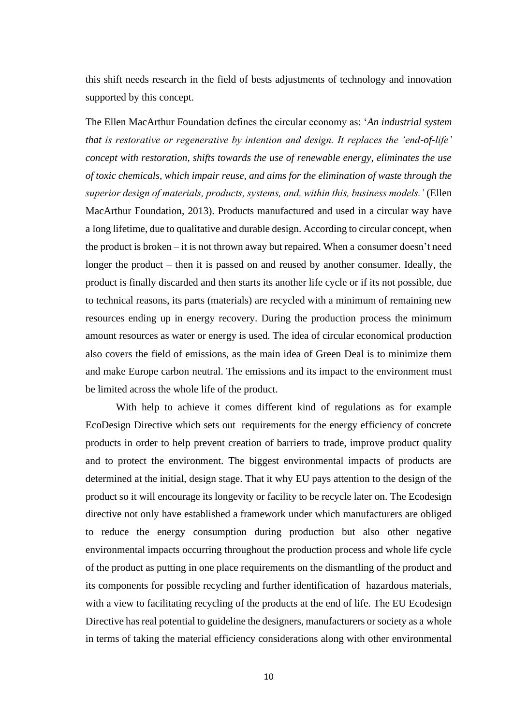this shift needs research in the field of bests adjustments of technology and innovation supported by this concept.

The Ellen MacArthur Foundation defines the circular economy as: '*An industrial system that is restorative or regenerative by intention and design. It replaces the 'end-of-life' concept with restoration, shifts towards the use of renewable energy, eliminates the use of toxic chemicals, which impair reuse, and aims for the elimination of waste through the superior design of materials, products, systems, and, within this, business models.'* (Ellen MacArthur Foundation, 2013). Products manufactured and used in a circular way have a long lifetime, due to qualitative and durable design. According to circular concept, when the product is broken – it is not thrown away but repaired. When a consumer doesn't need longer the product – then it is passed on and reused by another consumer. Ideally, the product is finally discarded and then starts its another life cycle or if its not possible, due to technical reasons, its parts (materials) are recycled with a minimum of remaining new resources ending up in energy recovery. During the production process the minimum amount resources as water or energy is used. The idea of circular economical production also covers the field of emissions, as the main idea of Green Deal is to minimize them and make Europe carbon neutral. The emissions and its impact to the environment must be limited across the whole life of the product.

With help to achieve it comes different kind of regulations as for example EcoDesign Directive which sets out requirements for the energy efficiency of concrete products in order to help prevent creation of barriers to trade, improve product quality and to protect the environment. The biggest environmental impacts of products are determined at the initial, design stage. That it why EU pays attention to the design of the product so it will encourage its longevity or facility to be recycle later on. The Ecodesign directive not only have established a framework under which manufacturers are obliged to reduce the energy consumption during production but also other negative environmental impacts occurring throughout the production process and whole life cycle of the product as putting in one place requirements on the dismantling of the product and its components for possible recycling and further identification of hazardous materials, with a view to facilitating recycling of the products at the end of life. The EU Ecodesign Directive has real potential to guideline the designers, manufacturers or society as a whole in terms of taking the material efficiency considerations along with other environmental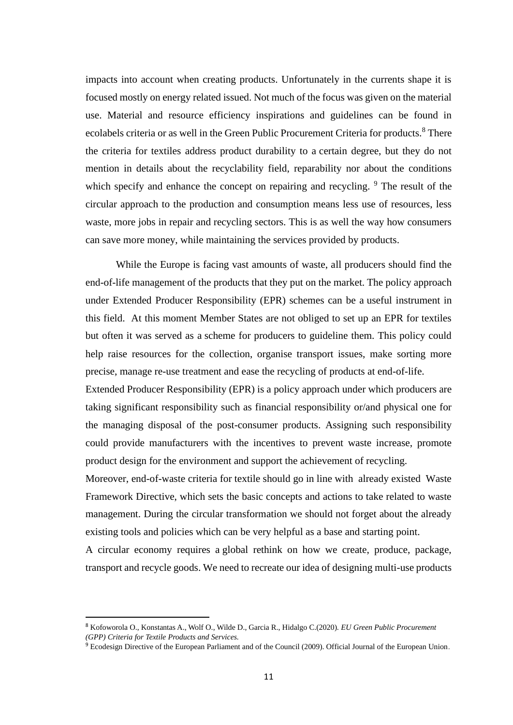impacts into account when creating products. Unfortunately in the currents shape it is focused mostly on energy related issued. Not much of the focus was given on the material use. Material and resource efficiency inspirations and guidelines can be found in ecolabels criteria or as well in the Green Public Procurement Criteria for products.<sup>8</sup> There the criteria for textiles address product durability to a certain degree, but they do not mention in details about the recyclability field, reparability nor about the conditions which specify and enhance the concept on repairing and recycling. <sup>9</sup> The result of the circular approach to the production and consumption means less use of resources, less waste, more jobs in repair and recycling sectors. This is as well the way how consumers can save more money, while maintaining the services provided by products.

While the Europe is facing vast amounts of waste, all producers should find the end-of-life management of the products that they put on the market. The policy approach under Extended Producer Responsibility (EPR) schemes can be a useful instrument in this field. At this moment Member States are not obliged to set up an EPR for textiles but often it was served as a scheme for producers to guideline them. This policy could help raise resources for the collection, organise transport issues, make sorting more precise, manage re-use treatment and ease the recycling of products at end-of-life.

Extended Producer Responsibility (EPR) is a policy approach under which producers are taking significant responsibility such as financial responsibility or/and physical one for the managing disposal of the post-consumer products. Assigning such responsibility could provide manufacturers with the incentives to prevent waste increase, promote product design for the environment and support the achievement of recycling.

Moreover, end-of-waste criteria for textile should go in line with already existed Waste Framework Directive, which sets the basic concepts and actions to take related to waste management. During the circular transformation we should not forget about the already existing tools and policies which can be very helpful as a base and starting point.

A circular economy requires a global rethink on how we create, produce, package, transport and recycle goods. We need to recreate our idea of designing multi-use products

<sup>8</sup> Kofoworola O., Konstantas A., Wolf O., Wilde D., Garcia R., Hidalgo C.(2020). *EU Green Public Procurement (GPP) Criteria for Textile Products and Services.*

<sup>&</sup>lt;sup>9</sup> Ecodesign Directive of the European Parliament and of the Council (2009). Official Journal of the European Union.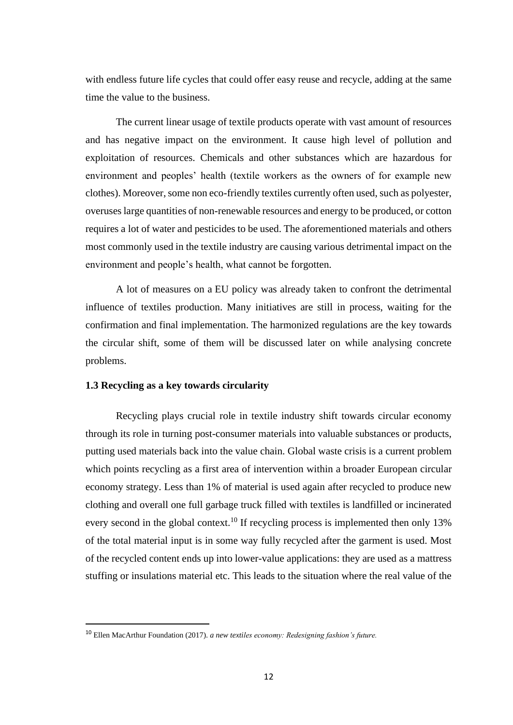with endless future life cycles that could offer easy reuse and recycle, adding at the same time the value to the business.

The current linear usage of textile products operate with vast amount of resources and has negative impact on the environment. It cause high level of pollution and exploitation of resources. Chemicals and other substances which are hazardous for environment and peoples' health (textile workers as the owners of for example new clothes). Moreover, some non eco-friendly textiles currently often used, such as polyester, overuses large quantities of non-renewable resources and energy to be produced, or cotton requires a lot of water and pesticides to be used. The aforementioned materials and others most commonly used in the textile industry are causing various detrimental impact on the environment and people's health, what cannot be forgotten.

A lot of measures on a EU policy was already taken to confront the detrimental influence of textiles production. Many initiatives are still in process, waiting for the confirmation and final implementation. The harmonized regulations are the key towards the circular shift, some of them will be discussed later on while analysing concrete problems.

#### **1.3 Recycling as a key towards circularity**

Recycling plays crucial role in textile industry shift towards circular economy through its role in turning post-consumer materials into valuable substances or products, putting used materials back into the value chain. Global waste crisis is a current problem which points recycling as a first area of intervention within a broader European circular economy strategy. Less than 1% of material is used again after recycled to produce new clothing and overall one full garbage truck filled with textiles is landfilled or incinerated every second in the global context.<sup>10</sup> If recycling process is implemented then only 13% of the total material input is in some way fully recycled after the garment is used. Most of the recycled content ends up into lower-value applications: they are used as a mattress stuffing or insulations material etc. This leads to the situation where the real value of the

<sup>10</sup> Ellen MacArthur Foundation (2017). *a new textiles economy: Redesigning fashion's future.*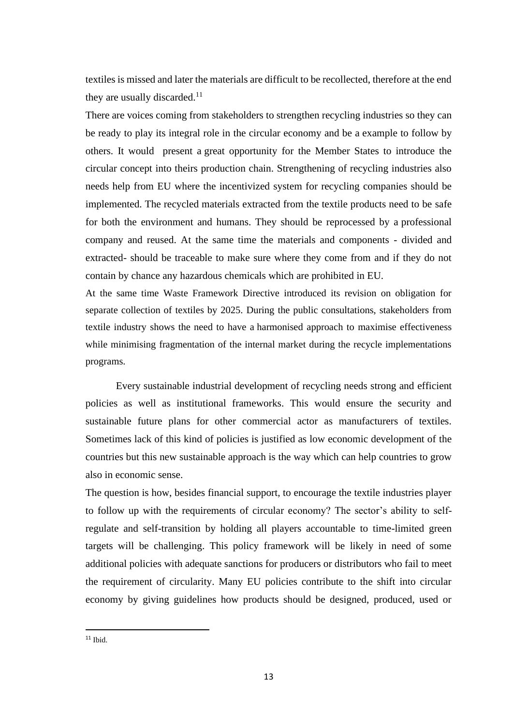textiles is missed and later the materials are difficult to be recollected, therefore at the end they are usually discarded. $11$ 

There are voices coming from stakeholders to strengthen recycling industries so they can be ready to play its integral role in the circular economy and be a example to follow by others. It would present a great opportunity for the Member States to introduce the circular concept into theirs production chain. Strengthening of recycling industries also needs help from EU where the incentivized system for recycling companies should be implemented. The recycled materials extracted from the textile products need to be safe for both the environment and humans. They should be reprocessed by a professional company and reused. At the same time the materials and components - divided and extracted- should be traceable to make sure where they come from and if they do not contain by chance any hazardous chemicals which are prohibited in EU.

At the same time Waste Framework Directive introduced its revision on obligation for separate collection of textiles by 2025. During the public consultations, stakeholders from textile industry shows the need to have a harmonised approach to maximise effectiveness while minimising fragmentation of the internal market during the recycle implementations programs.

Every sustainable industrial development of recycling needs strong and efficient policies as well as institutional frameworks. This would ensure the security and sustainable future plans for other commercial actor as manufacturers of textiles. Sometimes lack of this kind of policies is justified as low economic development of the countries but this new sustainable approach is the way which can help countries to grow also in economic sense.

The question is how, besides financial support, to encourage the textile industries player to follow up with the requirements of circular economy? The sector's ability to selfregulate and self-transition by holding all players accountable to time-limited green targets will be challenging. This policy framework will be likely in need of some additional policies with adequate sanctions for producers or distributors who fail to meet the requirement of circularity. Many EU policies contribute to the shift into circular economy by giving guidelines how products should be designed, produced, used or

 $11$  Ibid.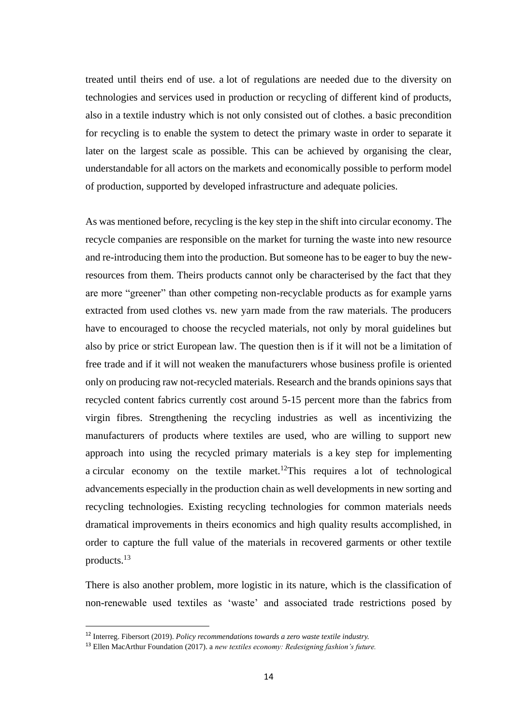treated until theirs end of use. a lot of regulations are needed due to the diversity on technologies and services used in production or recycling of different kind of products, also in a textile industry which is not only consisted out of clothes. a basic precondition for recycling is to enable the system to detect the primary waste in order to separate it later on the largest scale as possible. This can be achieved by organising the clear, understandable for all actors on the markets and economically possible to perform model of production, supported by developed infrastructure and adequate policies.

As was mentioned before, recycling is the key step in the shift into circular economy. The recycle companies are responsible on the market for turning the waste into new resource and re-introducing them into the production. But someone has to be eager to buy the newresources from them. Theirs products cannot only be characterised by the fact that they are more "greener" than other competing non-recyclable products as for example yarns extracted from used clothes vs. new yarn made from the raw materials. The producers have to encouraged to choose the recycled materials, not only by moral guidelines but also by price or strict European law. The question then is if it will not be a limitation of free trade and if it will not weaken the manufacturers whose business profile is oriented only on producing raw not-recycled materials. Research and the brands opinions says that recycled content fabrics currently cost around 5-15 percent more than the fabrics from virgin fibres. Strengthening the recycling industries as well as incentivizing the manufacturers of products where textiles are used, who are willing to support new approach into using the recycled primary materials is a key step for implementing a circular economy on the textile market.<sup>12</sup>This requires a lot of technological advancements especially in the production chain as well developments in new sorting and recycling technologies. Existing recycling technologies for common materials needs dramatical improvements in theirs economics and high quality results accomplished, in order to capture the full value of the materials in recovered garments or other textile products.<sup>13</sup>

There is also another problem, more logistic in its nature, which is the classification of non-renewable used textiles as 'waste' and associated trade restrictions posed by

<sup>12</sup> Interreg. Fibersort (2019). *Policy recommendations towards a zero waste textile industry.*

<sup>13</sup> Ellen MacArthur Foundation (2017). a *new textiles economy: Redesigning fashion's future.*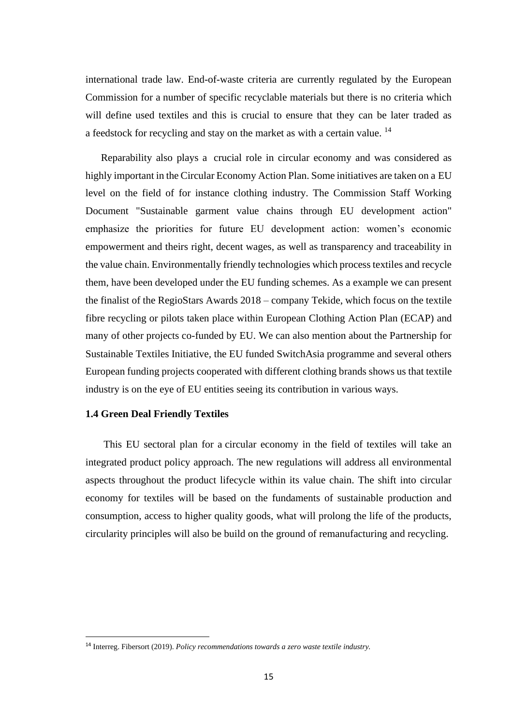international trade law. End-of-waste criteria are currently regulated by the European Commission for a number of specific recyclable materials but there is no criteria which will define used textiles and this is crucial to ensure that they can be later traded as a feedstock for recycling and stay on the market as with a certain value. <sup>14</sup>

 Reparability also plays a crucial role in circular economy and was considered as highly important in the Circular Economy Action Plan. Some initiatives are taken on a EU level on the field of for instance clothing industry. The Commission Staff Working Document "Sustainable garment value chains through EU development action" emphasize the priorities for future EU development action: women's economic empowerment and theirs right, decent wages, as well as transparency and traceability in the value chain. Environmentally friendly technologies which process textiles and recycle them, have been developed under the EU funding schemes. As a example we can present the finalist of the RegioStars Awards 2018 – company Tekide, which focus on the textile fibre recycling or pilots taken place within European Clothing Action Plan (ECAP) and many of other projects co-funded by EU. We can also mention about the Partnership for Sustainable Textiles Initiative, the EU funded SwitchAsia programme and several others European funding projects cooperated with different clothing brands shows us that textile industry is on the eye of EU entities seeing its contribution in various ways.

#### **1.4 Green Deal Friendly Textiles**

 This EU sectoral plan for a circular economy in the field of textiles will take an integrated product policy approach. The new regulations will address all environmental aspects throughout the product lifecycle within its value chain. The shift into circular economy for textiles will be based on the fundaments of sustainable production and consumption, access to higher quality goods, what will prolong the life of the products, circularity principles will also be build on the ground of remanufacturing and recycling.

<sup>14</sup> Interreg. Fibersort (2019). *Policy recommendations towards a zero waste textile industry.*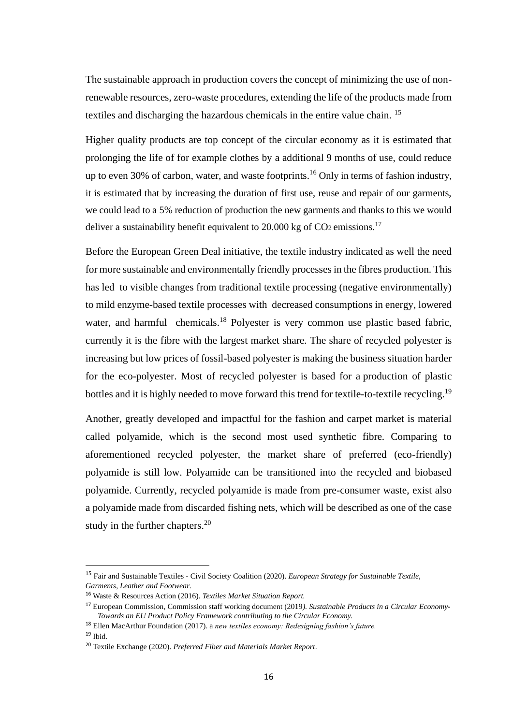The sustainable approach in production covers the concept of minimizing the use of nonrenewable resources, zero-waste procedures, extending the life of the products made from textiles and discharging the hazardous chemicals in the entire value chain. <sup>15</sup>

Higher quality products are top concept of the circular economy as it is estimated that prolonging the life of for example clothes by a additional 9 months of use, could reduce up to even 30% of carbon, water, and waste footprints.<sup>16</sup> Only in terms of fashion industry, it is estimated that by increasing the duration of first use, reuse and repair of our garments, we could lead to a 5% reduction of production the new garments and thanks to this we would deliver a sustainability benefit equivalent to 20.000 kg of  $CO<sub>2</sub>$  emissions.<sup>17</sup>

Before the European Green Deal initiative, the textile industry indicated as well the need for more sustainable and environmentally friendly processes in the fibres production. This has led to visible changes from traditional textile processing (negative environmentally) to mild enzyme-based textile processes with decreased consumptions in energy, lowered water, and harmful chemicals.<sup>18</sup> Polyester is very common use plastic based fabric, currently it is the fibre with the largest market share. The share of recycled polyester is increasing but low prices of fossil-based polyester is making the business situation harder for the eco-polyester. Most of recycled polyester is based for a production of plastic bottles and it is highly needed to move forward this trend for textile-to-textile recycling.<sup>19</sup>

Another, greatly developed and impactful for the fashion and carpet market is material called polyamide, which is the second most used synthetic fibre. Comparing to aforementioned recycled polyester, the market share of preferred (eco-friendly) polyamide is still low. Polyamide can be transitioned into the recycled and biobased polyamide. Currently, recycled polyamide is made from pre-consumer waste, exist also a polyamide made from discarded fishing nets, which will be described as one of the case study in the further chapters.<sup>20</sup>

<sup>15</sup> Fair and Sustainable Textiles - Civil Society Coalition (2020). *European Strategy for Sustainable Textile, Garments, Leather and Footwear.*

<sup>16</sup> Waste & Resources Action (2016). *Textiles Market Situation Report.*

<sup>17</sup> European Commission, Commission staff working document (2019*). Sustainable Products in a Circular Economy-Towards an EU Product Policy Framework contributing to the Circular Economy.*

<sup>18</sup> Ellen MacArthur Foundation (2017). a *new textiles economy: Redesigning fashion's future.*  $^{19}$  Ibid.

<sup>20</sup> Textile Exchange (2020). *Preferred Fiber and Materials Market Report*.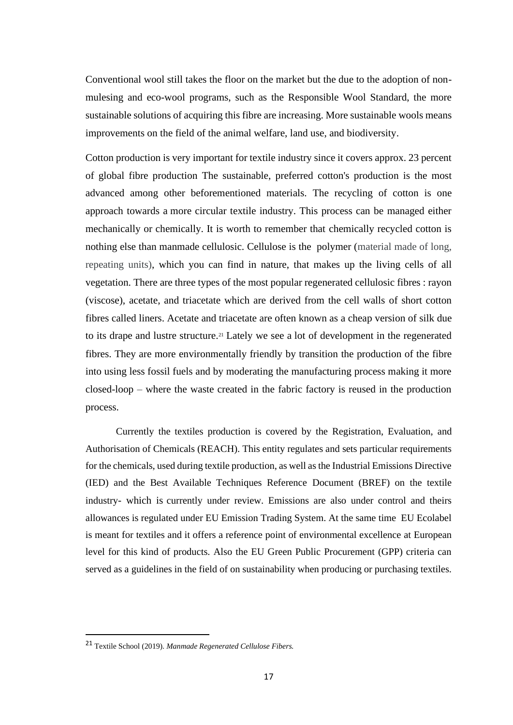Conventional wool still takes the floor on the market but the due to the adoption of nonmulesing and eco-wool programs, such as the Responsible Wool Standard, the more sustainable solutions of acquiring this fibre are increasing. More sustainable wools means improvements on the field of the animal welfare, land use, and biodiversity.

Cotton production is very important for textile industry since it covers approx. 23 percent of global fibre production The sustainable, preferred cotton's production is the most advanced among other beforementioned materials. The recycling of cotton is one approach towards a more circular textile industry. This process can be managed either mechanically or chemically. It is worth to remember that chemically recycled cotton is nothing else than manmade cellulosic. Cellulose is the polymer (material made of long, repeating units), which you can find in nature, that makes up the living cells of all vegetation. There are three types of the most popular regenerated cellulosic fibres : rayon (viscose), acetate, and triacetate which are derived from the cell walls of short cotton fibres called liners. Acetate and triacetate are often known as a cheap version of silk due to its drape and lustre structure.<sup>21</sup> Lately we see a lot of development in the regenerated fibres. They are more environmentally friendly by transition the production of the fibre into using less fossil fuels and by moderating the manufacturing process making it more closed-loop – where the waste created in the fabric factory is reused in the production process.

Currently the textiles production is covered by the Registration, Evaluation, and Authorisation of Chemicals (REACH). This entity regulates and sets particular requirements for the chemicals, used during textile production, as well as the Industrial Emissions Directive (IED) and the Best Available Techniques Reference Document (BREF) on the textile industry- which is currently under review. Emissions are also under control and theirs allowances is regulated under EU Emission Trading System. At the same time EU Ecolabel is meant for textiles and it offers a reference point of environmental excellence at European level for this kind of products. Also the EU Green Public Procurement (GPP) criteria can served as a guidelines in the field of on sustainability when producing or purchasing textiles.

<sup>21</sup> Textile School (2019). *Manmade Regenerated Cellulose Fibers.*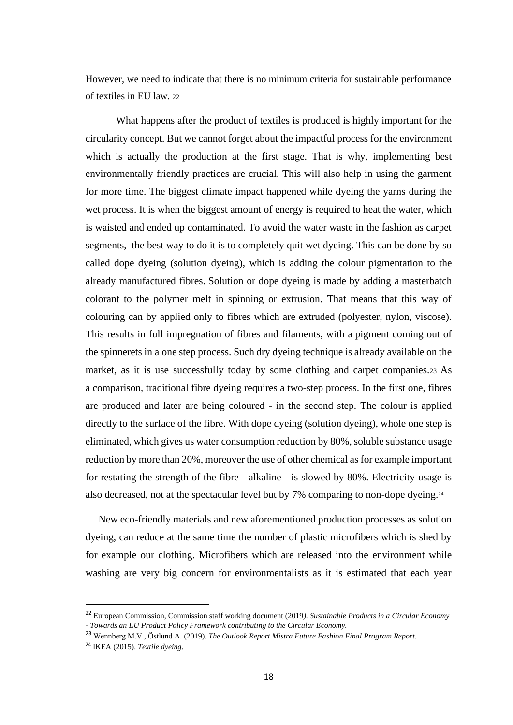However, we need to indicate that there is no minimum criteria for sustainable performance of textiles in EU law. <sup>22</sup>

What happens after the product of textiles is produced is highly important for the circularity concept. But we cannot forget about the impactful process for the environment which is actually the production at the first stage. That is why, implementing best environmentally friendly practices are crucial. This will also help in using the garment for more time. The biggest climate impact happened while dyeing the yarns during the wet process. It is when the biggest amount of energy is required to heat the water, which is waisted and ended up contaminated. To avoid the water waste in the fashion as carpet segments, the best way to do it is to completely quit wet dyeing. This can be done by so called dope dyeing (solution dyeing), which is adding the colour pigmentation to the already manufactured fibres. Solution or dope dyeing is made by adding a masterbatch colorant to the polymer melt in spinning or extrusion. That means that this way of colouring can by applied only to fibres which are extruded (polyester, nylon, viscose). This results in full impregnation of fibres and filaments, with a pigment coming out of the spinnerets in a one step process. Such dry dyeing technique is already available on the market, as it is use successfully today by some clothing and carpet companies.<sup>23</sup> As a comparison, traditional fibre dyeing requires a two-step process. In the first one, fibres are produced and later are being coloured - in the second step. The colour is applied directly to the surface of the fibre. With dope dyeing (solution dyeing), whole one step is eliminated, which gives us water consumption reduction by 80%, soluble substance usage reduction by more than 20%, moreover the use of other chemical as for example important for restating the strength of the fibre - alkaline - is slowed by 80%. Electricity usage is also decreased, not at the spectacular level but by 7% comparing to non-dope dyeing.<sup>24</sup>

 New eco-friendly materials and new aforementioned production processes as solution dyeing, can reduce at the same time the number of plastic microfibers which is shed by for example our clothing. Microfibers which are released into the environment while washing are very big concern for environmentalists as it is estimated that each year

<sup>22</sup> European Commission, Commission staff working document (2019*). Sustainable Products in a Circular Economy - Towards an EU Product Policy Framework contributing to the Circular Economy.*

<sup>23</sup> Wennberg M.V., Östlund A. (2019). *The Outlook Report Mistra Future Fashion Final Program Report.*

<sup>24</sup> IKEA (2015). *Textile dyeing*.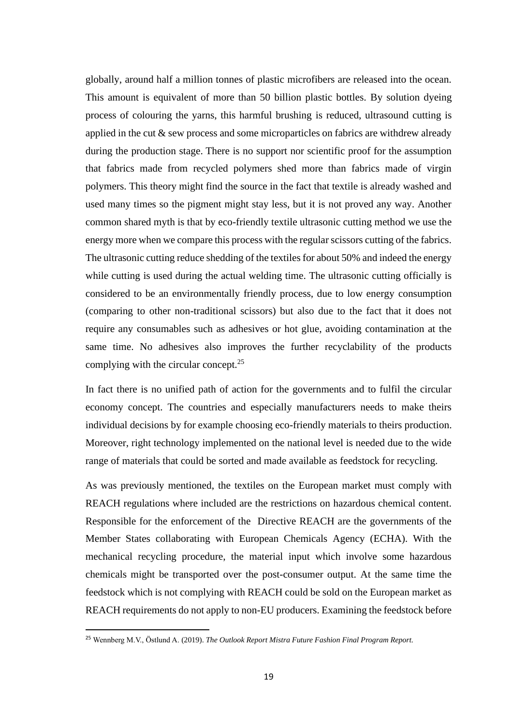globally, around half a million tonnes of plastic microfibers are released into the ocean. This amount is equivalent of more than 50 billion plastic bottles. By solution dyeing process of colouring the yarns, this harmful brushing is reduced, ultrasound cutting is applied in the cut & sew process and some microparticles on fabrics are withdrew already during the production stage. There is no support nor scientific proof for the assumption that fabrics made from recycled polymers shed more than fabrics made of virgin polymers. This theory might find the source in the fact that textile is already washed and used many times so the pigment might stay less, but it is not proved any way. Another common shared myth is that by eco-friendly textile ultrasonic cutting method we use the energy more when we compare this process with the regular scissors cutting of the fabrics. The ultrasonic cutting reduce shedding of the textiles for about 50% and indeed the energy while cutting is used during the actual welding time. The ultrasonic cutting officially is considered to be an environmentally friendly process, due to low energy consumption (comparing to other non-traditional scissors) but also due to the fact that it does not require any consumables such as adhesives or hot glue, avoiding contamination at the same time. No adhesives also improves the further recyclability of the products complying with the circular concept.<sup>25</sup>

In fact there is no unified path of action for the governments and to fulfil the circular economy concept. The countries and especially manufacturers needs to make theirs individual decisions by for example choosing eco-friendly materials to theirs production. Moreover, right technology implemented on the national level is needed due to the wide range of materials that could be sorted and made available as feedstock for recycling.

As was previously mentioned, the textiles on the European market must comply with REACH regulations where included are the restrictions on hazardous chemical content. Responsible for the enforcement of the Directive REACH are the governments of the Member States collaborating with European Chemicals Agency (ECHA). With the mechanical recycling procedure, the material input which involve some hazardous chemicals might be transported over the post-consumer output. At the same time the feedstock which is not complying with REACH could be sold on the European market as REACH requirements do not apply to non-EU producers. Examining the feedstock before

<sup>25</sup> Wennberg M.V., Östlund A. (2019). *The Outlook Report Mistra Future Fashion Final Program Report.*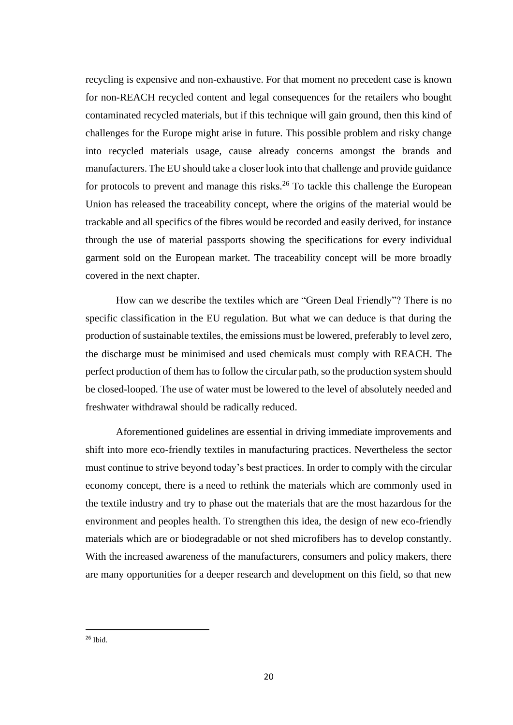recycling is expensive and non-exhaustive. For that moment no precedent case is known for non-REACH recycled content and legal consequences for the retailers who bought contaminated recycled materials, but if this technique will gain ground, then this kind of challenges for the Europe might arise in future. This possible problem and risky change into recycled materials usage, cause already concerns amongst the brands and manufacturers. The EU should take a closer look into that challenge and provide guidance for protocols to prevent and manage this risks.<sup>26</sup> To tackle this challenge the European Union has released the traceability concept, where the origins of the material would be trackable and all specifics of the fibres would be recorded and easily derived, for instance through the use of material passports showing the specifications for every individual garment sold on the European market. The traceability concept will be more broadly covered in the next chapter.

How can we describe the textiles which are "Green Deal Friendly"? There is no specific classification in the EU regulation. But what we can deduce is that during the production of sustainable textiles, the emissions must be lowered, preferably to level zero, the discharge must be minimised and used chemicals must comply with REACH. The perfect production of them has to follow the circular path, so the production system should be closed-looped. The use of water must be lowered to the level of absolutely needed and freshwater withdrawal should be radically reduced.

Aforementioned guidelines are essential in driving immediate improvements and shift into more eco-friendly textiles in manufacturing practices. Nevertheless the sector must continue to strive beyond today's best practices. In order to comply with the circular economy concept, there is a need to rethink the materials which are commonly used in the textile industry and try to phase out the materials that are the most hazardous for the environment and peoples health. To strengthen this idea, the design of new eco-friendly materials which are or biodegradable or not shed microfibers has to develop constantly. With the increased awareness of the manufacturers, consumers and policy makers, there are many opportunities for a deeper research and development on this field, so that new

 $26$  Ibid.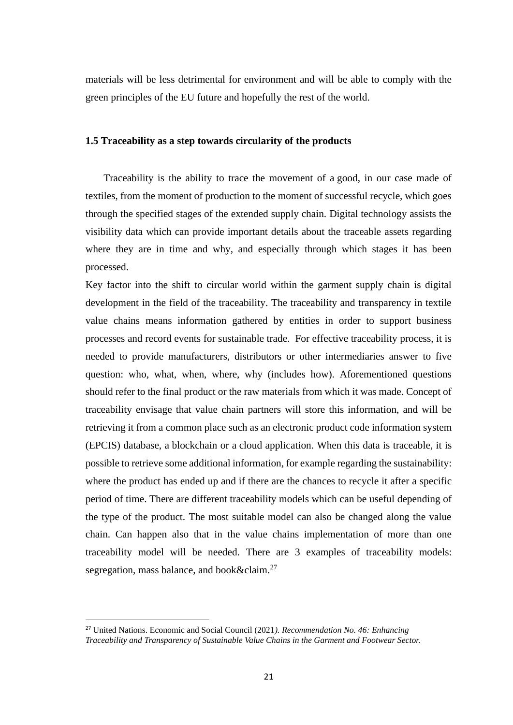materials will be less detrimental for environment and will be able to comply with the green principles of the EU future and hopefully the rest of the world.

## **1.5 Traceability as a step towards circularity of the products**

 Traceability is the ability to trace the movement of a good, in our case made of textiles, from the moment of production to the moment of successful recycle, which goes through the specified stages of the extended supply chain. Digital technology assists the visibility data which can provide important details about the traceable assets regarding where they are in time and why, and especially through which stages it has been processed.

Key factor into the shift to circular world within the garment supply chain is digital development in the field of the traceability. The traceability and transparency in textile value chains means information gathered by entities in order to support business processes and record events for sustainable trade. For effective traceability process, it is needed to provide manufacturers, distributors or other intermediaries answer to five question: who, what, when, where, why (includes how). Aforementioned questions should refer to the final product or the raw materials from which it was made. Concept of traceability envisage that value chain partners will store this information, and will be retrieving it from a common place such as an electronic product code information system (EPCIS) database, a blockchain or a cloud application. When this data is traceable, it is possible to retrieve some additional information, for example regarding the sustainability: where the product has ended up and if there are the chances to recycle it after a specific period of time. There are different traceability models which can be useful depending of the type of the product. The most suitable model can also be changed along the value chain. Can happen also that in the value chains implementation of more than one traceability model will be needed. There are 3 examples of traceability models: segregation, mass balance, and book&claim.<sup>27</sup>

<sup>27</sup> United Nations. Economic and Social Council (2021*). Recommendation No. 46: Enhancing Traceability and Transparency of Sustainable Value Chains in the Garment and Footwear Sector.*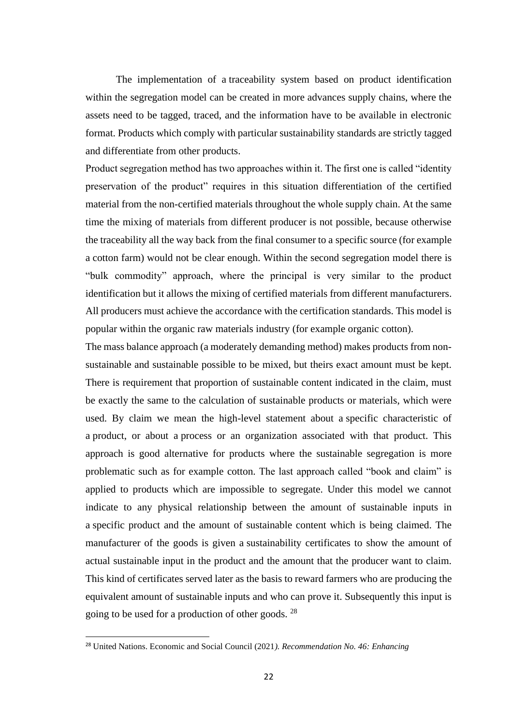The implementation of a traceability system based on product identification within the segregation model can be created in more advances supply chains, where the assets need to be tagged, traced, and the information have to be available in electronic format. Products which comply with particular sustainability standards are strictly tagged and differentiate from other products.

Product segregation method has two approaches within it. The first one is called "identity preservation of the product" requires in this situation differentiation of the certified material from the non-certified materials throughout the whole supply chain. At the same time the mixing of materials from different producer is not possible, because otherwise the traceability all the way back from the final consumer to a specific source (for example a cotton farm) would not be clear enough. Within the second segregation model there is "bulk commodity" approach, where the principal is very similar to the product identification but it allows the mixing of certified materials from different manufacturers. All producers must achieve the accordance with the certification standards. This model is popular within the organic raw materials industry (for example organic cotton).

The mass balance approach (a moderately demanding method) makes products from nonsustainable and sustainable possible to be mixed, but theirs exact amount must be kept. There is requirement that proportion of sustainable content indicated in the claim, must be exactly the same to the calculation of sustainable products or materials, which were used. By claim we mean the high-level statement about a specific characteristic of a product, or about a process or an organization associated with that product. This approach is good alternative for products where the sustainable segregation is more problematic such as for example cotton. The last approach called "book and claim" is applied to products which are impossible to segregate. Under this model we cannot indicate to any physical relationship between the amount of sustainable inputs in a specific product and the amount of sustainable content which is being claimed. The manufacturer of the goods is given a sustainability certificates to show the amount of actual sustainable input in the product and the amount that the producer want to claim. This kind of certificates served later as the basis to reward farmers who are producing the equivalent amount of sustainable inputs and who can prove it. Subsequently this input is going to be used for a production of other goods. <sup>28</sup>

<sup>28</sup> United Nations. Economic and Social Council (2021*). Recommendation No. 46: Enhancing*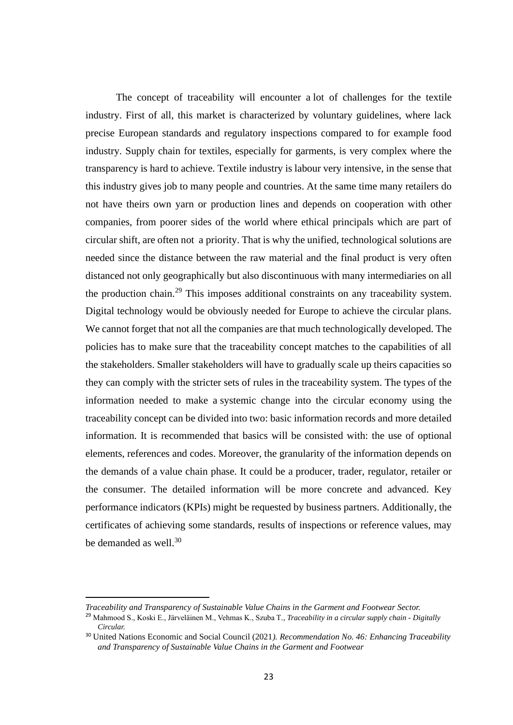The concept of traceability will encounter a lot of challenges for the textile industry. First of all, this market is characterized by voluntary guidelines, where lack precise European standards and regulatory inspections compared to for example food industry. Supply chain for textiles, especially for garments, is very complex where the transparency is hard to achieve. Textile industry is labour very intensive, in the sense that this industry gives job to many people and countries. At the same time many retailers do not have theirs own yarn or production lines and depends on cooperation with other companies, from poorer sides of the world where ethical principals which are part of circular shift, are often not a priority. That is why the unified, technological solutions are needed since the distance between the raw material and the final product is very often distanced not only geographically but also discontinuous with many intermediaries on all the production chain.<sup>29</sup> This imposes additional constraints on any traceability system. Digital technology would be obviously needed for Europe to achieve the circular plans. We cannot forget that not all the companies are that much technologically developed. The policies has to make sure that the traceability concept matches to the capabilities of all the stakeholders. Smaller stakeholders will have to gradually scale up theirs capacities so they can comply with the stricter sets of rules in the traceability system. The types of the information needed to make a systemic change into the circular economy using the traceability concept can be divided into two: basic information records and more detailed information. It is recommended that basics will be consisted with: the use of optional elements, references and codes. Moreover, the granularity of the information depends on the demands of a value chain phase. It could be a producer, trader, regulator, retailer or the consumer. The detailed information will be more concrete and advanced. Key performance indicators (KPIs) might be requested by business partners. Additionally, the certificates of achieving some standards, results of inspections or reference values, may be demanded as well.<sup>30</sup>

*Traceability and Transparency of Sustainable Value Chains in the Garment and Footwear Sector.*

<sup>29</sup> Mahmood S., Koski E., Järveläinen M., Vehmas K., Szuba T*., Traceability in a circular supply chain - Digitally Circular.*

<sup>30</sup> United Nations Economic and Social Council (2021*). Recommendation No. 46: Enhancing Traceability and Transparency of Sustainable Value Chains in the Garment and Footwear*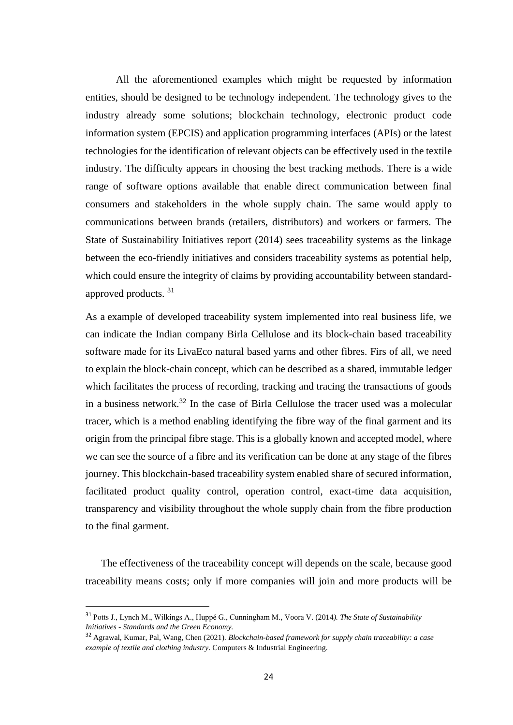All the aforementioned examples which might be requested by information entities, should be designed to be technology independent. The technology gives to the industry already some solutions; blockchain technology, electronic product code information system (EPCIS) and application programming interfaces (APIs) or the latest technologies for the identification of relevant objects can be effectively used in the textile industry. The difficulty appears in choosing the best tracking methods. There is a wide range of software options available that enable direct communication between final consumers and stakeholders in the whole supply chain. The same would apply to communications between brands (retailers, distributors) and workers or farmers. The State of Sustainability Initiatives report (2014) sees traceability systems as the linkage between the eco-friendly initiatives and considers traceability systems as potential help, which could ensure the integrity of claims by providing accountability between standardapproved products. <sup>31</sup>

As a example of developed traceability system implemented into real business life, we can indicate the Indian company Birla Cellulose and its block-chain based traceability software made for its LivaEco natural based yarns and other fibres. Firs of all, we need to explain the block-chain concept, which can be described as a shared, immutable ledger which facilitates the process of recording, tracking and tracing the transactions of goods in a business network.<sup>32</sup> In the case of Birla Cellulose the tracer used was a molecular tracer, which is a method enabling identifying the fibre way of the final garment and its origin from the principal fibre stage. This is a globally known and accepted model, where we can see the source of a fibre and its verification can be done at any stage of the fibres journey. This blockchain-based traceability system enabled share of secured information, facilitated product quality control, operation control, exact-time data acquisition, transparency and visibility throughout the whole supply chain from the fibre production to the final garment.

 The effectiveness of the traceability concept will depends on the scale, because good traceability means costs; only if more companies will join and more products will be

<sup>31</sup> Potts J., Lynch M., Wilkings A., Huppé G., Cunningham M., Voora V. (2014*). The State of Sustainability Initiatives - Standards and the Green Economy.*

<sup>32</sup> Agrawal, Kumar, Pal, Wang, Chen (2021). *Blockchain-based framework for supply chain traceability: a case example of textile and clothing industry*. Computers & Industrial Engineering.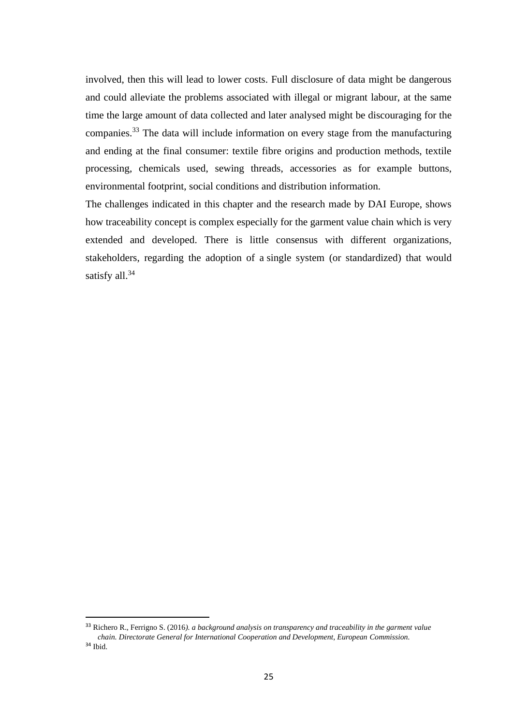involved, then this will lead to lower costs. Full disclosure of data might be dangerous and could alleviate the problems associated with illegal or migrant labour, at the same time the large amount of data collected and later analysed might be discouraging for the companies.<sup>33</sup> The data will include information on every stage from the manufacturing and ending at the final consumer: textile fibre origins and production methods, textile processing, chemicals used, sewing threads, accessories as for example buttons, environmental footprint, social conditions and distribution information.

The challenges indicated in this chapter and the research made by DAI Europe, shows how traceability concept is complex especially for the garment value chain which is very extended and developed. There is little consensus with different organizations, stakeholders, regarding the adoption of a single system (or standardized) that would satisfy all.<sup>34</sup>

<sup>33</sup> Richero R., Ferrigno S. (2016*). a background analysis on transparency and traceability in the garment value chain. Directorate General for International Cooperation and Development, European Commission.* <sup>34</sup> Ibid.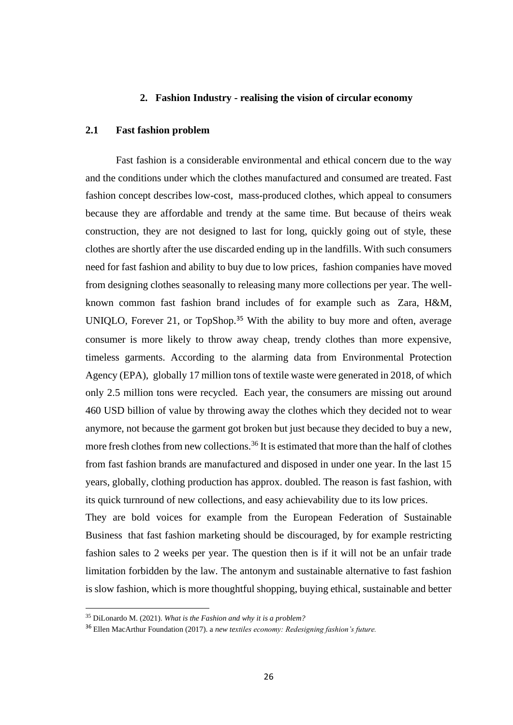#### **2. Fashion Industry - realising the vision of circular economy**

## **2.1 Fast fashion problem**

Fast fashion is a considerable environmental and ethical concern due to the way and the conditions under which the clothes manufactured and consumed are treated. Fast fashion concept describes low-cost, mass-produced clothes, which appeal to consumers because they are affordable and trendy at the same time. But because of theirs weak construction, they are not designed to last for long, quickly going out of style, these clothes are shortly after the use discarded ending up in the landfills. With such consumers need for fast fashion and ability to buy due to low prices, fashion companies have moved from designing clothes seasonally to releasing many more collections per year. The wellknown common fast fashion brand includes of for example such as Zara, H&M, UNIQLO, Forever 21, or TopShop.<sup>35</sup> With the ability to buy more and often, average consumer is more likely to throw away cheap, trendy clothes than more expensive, timeless garments. According to the alarming data from Environmental Protection Agency (EPA), globally 17 million tons of textile waste were generated in 2018, of which only 2.5 million tons were recycled. Each year, the consumers are missing out around 460 USD billion of value by throwing away the clothes which they decided not to wear anymore, not because the garment got broken but just because they decided to buy a new, more fresh clothes from new collections.<sup>36</sup> It is estimated that more than the half of clothes from fast fashion brands are manufactured and disposed in under one year. In the last 15 years, globally, clothing production has approx. doubled. The reason is fast fashion, with its quick turnround of new collections, and easy achievability due to its low prices.

They are bold voices for example from the European Federation of Sustainable Business that fast fashion marketing should be discouraged, by for example restricting fashion sales to 2 weeks per year. The question then is if it will not be an unfair trade limitation forbidden by the law. The antonym and sustainable alternative to fast fashion is slow fashion, which is more thoughtful shopping, buying ethical, sustainable and better

<sup>35</sup> DiLonardo M. (2021). *What is the Fashion and why it is a problem?*

<sup>36</sup> Ellen MacArthur Foundation (2017). a *new textiles economy: Redesigning fashion's future.*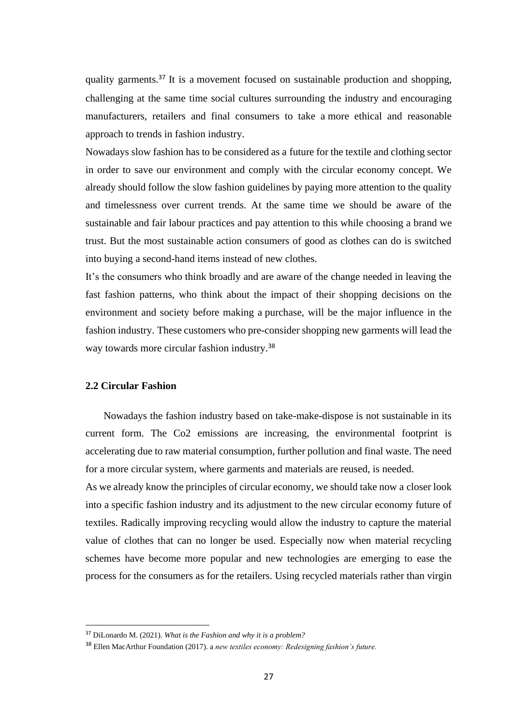quality garments.<sup>37</sup> It is a movement focused on sustainable production and shopping, challenging at the same time social cultures surrounding the industry and encouraging manufacturers, retailers and final consumers to take a more ethical and reasonable approach to trends in fashion industry.

Nowadays slow fashion has to be considered as a future for the textile and clothing sector in order to save our environment and comply with the circular economy concept. We already should follow the slow fashion guidelines by paying more attention to the quality and timelessness over current trends. At the same time we should be aware of the sustainable and fair labour practices and pay attention to this while choosing a brand we trust. But the most sustainable action consumers of good as clothes can do is switched into buying a second-hand items instead of new clothes.

It's the consumers who think broadly and are aware of the change needed in leaving the fast fashion patterns, who think about the impact of their shopping decisions on the environment and society before making a purchase, will be the major influence in the fashion industry. These customers who pre-consider shopping new garments will lead the way towards more circular fashion industry.<sup>38</sup>

#### **2.2 Circular Fashion**

 Nowadays the fashion industry based on take-make-dispose is not sustainable in its current form. The Co2 emissions are increasing, the environmental footprint is accelerating due to raw material consumption, further pollution and final waste. The need for a more circular system, where garments and materials are reused, is needed.

As we already know the principles of circular economy, we should take now a closer look into a specific fashion industry and its adjustment to the new circular economy future of textiles. Radically improving recycling would allow the industry to capture the material value of clothes that can no longer be used. Especially now when material recycling schemes have become more popular and new technologies are emerging to ease the process for the consumers as for the retailers. Using recycled materials rather than virgin

<sup>37</sup> DiLonardo M. (2021). *What is the Fashion and why it is a problem?*

<sup>38</sup> Ellen MacArthur Foundation (2017). a *new textiles economy: Redesigning fashion's future.*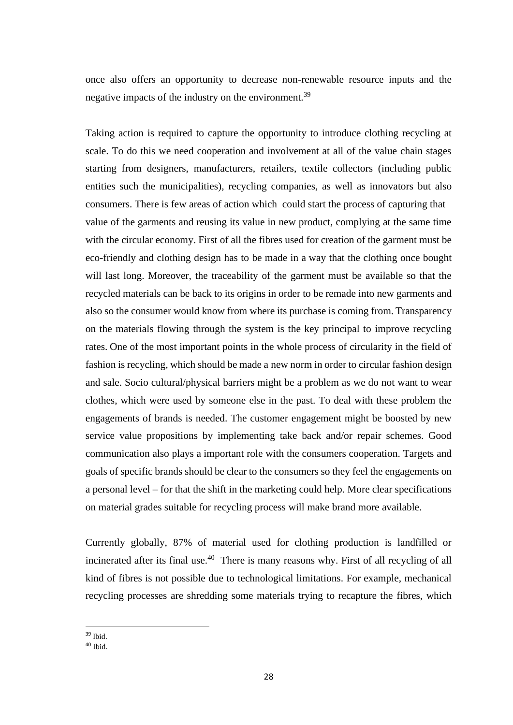once also offers an opportunity to decrease non-renewable resource inputs and the negative impacts of the industry on the environment.<sup>39</sup>

Taking action is required to capture the opportunity to introduce clothing recycling at scale. To do this we need cooperation and involvement at all of the value chain stages starting from designers, manufacturers, retailers, textile collectors (including public entities such the municipalities), recycling companies, as well as innovators but also consumers. There is few areas of action which could start the process of capturing that value of the garments and reusing its value in new product, complying at the same time with the circular economy. First of all the fibres used for creation of the garment must be eco-friendly and clothing design has to be made in a way that the clothing once bought will last long. Moreover, the traceability of the garment must be available so that the recycled materials can be back to its origins in order to be remade into new garments and also so the consumer would know from where its purchase is coming from. Transparency on the materials flowing through the system is the key principal to improve recycling rates. One of the most important points in the whole process of circularity in the field of fashion is recycling, which should be made a new norm in order to circular fashion design and sale. Socio cultural/physical barriers might be a problem as we do not want to wear clothes, which were used by someone else in the past. To deal with these problem the engagements of brands is needed. The customer engagement might be boosted by new service value propositions by implementing take back and/or repair schemes. Good communication also plays a important role with the consumers cooperation. Targets and goals of specific brands should be clear to the consumers so they feel the engagements on a personal level – for that the shift in the marketing could help. More clear specifications on material grades suitable for recycling process will make brand more available.

Currently globally, 87% of material used for clothing production is landfilled or incinerated after its final use.<sup>40</sup> There is many reasons why. First of all recycling of all kind of fibres is not possible due to technological limitations. For example, mechanical recycling processes are shredding some materials trying to recapture the fibres, which

<sup>39</sup> Ibid.

 $40$  Ibid.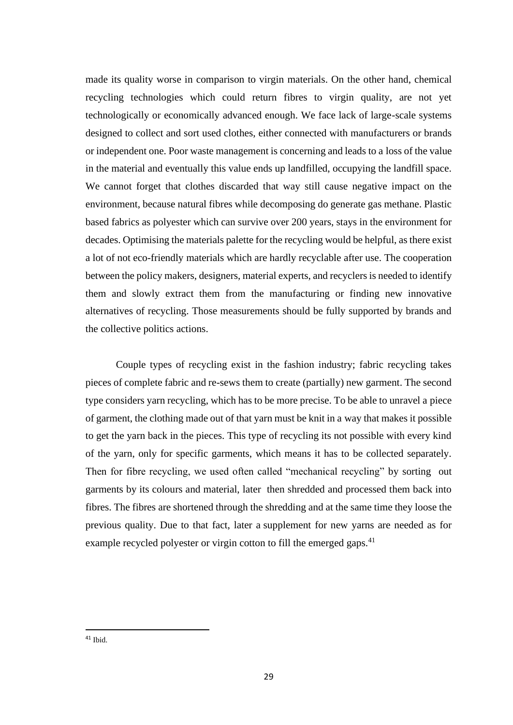made its quality worse in comparison to virgin materials. On the other hand, chemical recycling technologies which could return fibres to virgin quality, are not yet technologically or economically advanced enough. We face lack of large-scale systems designed to collect and sort used clothes, either connected with manufacturers or brands or independent one. Poor waste management is concerning and leads to a loss of the value in the material and eventually this value ends up landfilled, occupying the landfill space. We cannot forget that clothes discarded that way still cause negative impact on the environment, because natural fibres while decomposing do generate gas methane. Plastic based fabrics as polyester which can survive over 200 years, stays in the environment for decades. Optimising the materials palette for the recycling would be helpful, as there exist a lot of not eco-friendly materials which are hardly recyclable after use. The cooperation between the policy makers, designers, material experts, and recyclers is needed to identify them and slowly extract them from the manufacturing or finding new innovative alternatives of recycling. Those measurements should be fully supported by brands and the collective politics actions.

Couple types of recycling exist in the fashion industry; fabric recycling takes pieces of complete fabric and re-sews them to create (partially) new garment. The second type considers yarn recycling, which has to be more precise. To be able to unravel a piece of garment, the clothing made out of that yarn must be knit in a way that makes it possible to get the yarn back in the pieces. This type of recycling its not possible with every kind of the yarn, only for specific garments, which means it has to be collected separately. Then for fibre recycling, we used often called "mechanical recycling" by sorting out garments by its colours and material, later then shredded and processed them back into fibres. The fibres are shortened through the shredding and at the same time they loose the previous quality. Due to that fact, later a supplement for new yarns are needed as for example recycled polyester or virgin cotton to fill the emerged gaps.<sup>41</sup>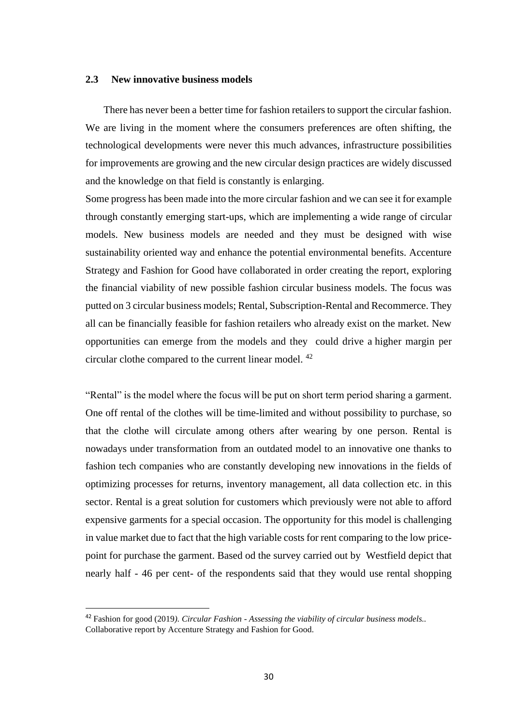#### **2.3 New innovative business models**

 There has never been a better time for fashion retailers to support the circular fashion. We are living in the moment where the consumers preferences are often shifting, the technological developments were never this much advances, infrastructure possibilities for improvements are growing and the new circular design practices are widely discussed and the knowledge on that field is constantly is enlarging.

Some progress has been made into the more circular fashion and we can see it for example through constantly emerging start-ups, which are implementing a wide range of circular models. New business models are needed and they must be designed with wise sustainability oriented way and enhance the potential environmental benefits. Accenture Strategy and Fashion for Good have collaborated in order creating the report, exploring the financial viability of new possible fashion circular business models. The focus was putted on 3 circular business models; Rental, Subscription-Rental and Recommerce. They all can be financially feasible for fashion retailers who already exist on the market. New opportunities can emerge from the models and they could drive a higher margin per circular clothe compared to the current linear model. <sup>42</sup>

"Rental" is the model where the focus will be put on short term period sharing a garment. One off rental of the clothes will be time-limited and without possibility to purchase, so that the clothe will circulate among others after wearing by one person. Rental is nowadays under transformation from an outdated model to an innovative one thanks to fashion tech companies who are constantly developing new innovations in the fields of optimizing processes for returns, inventory management, all data collection etc. in this sector. Rental is a great solution for customers which previously were not able to afford expensive garments for a special occasion. The opportunity for this model is challenging in value market due to fact that the high variable costs for rent comparing to the low pricepoint for purchase the garment. Based od the survey carried out by Westfield depict that nearly half - 46 per cent- of the respondents said that they would use rental shopping

<sup>42</sup> Fashion for good (2019*). Circular Fashion - Assessing the viability of circular business models..* Collaborative report by Accenture Strategy and Fashion for Good.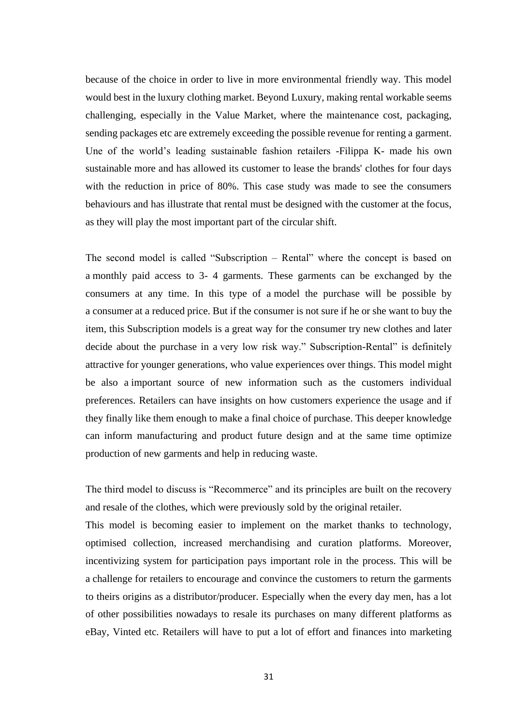because of the choice in order to live in more environmental friendly way. This model would best in the luxury clothing market. Beyond Luxury, making rental workable seems challenging, especially in the Value Market, where the maintenance cost, packaging, sending packages etc are extremely exceeding the possible revenue for renting a garment. Une of the world's leading sustainable fashion retailers -Filippa K- made his own sustainable more and has allowed its customer to lease the brands' clothes for four days with the reduction in price of 80%. This case study was made to see the consumers behaviours and has illustrate that rental must be designed with the customer at the focus, as they will play the most important part of the circular shift.

The second model is called "Subscription – Rental" where the concept is based on a monthly paid access to 3- 4 garments. These garments can be exchanged by the consumers at any time. In this type of a model the purchase will be possible by a consumer at a reduced price. But if the consumer is not sure if he or she want to buy the item, this Subscription models is a great way for the consumer try new clothes and later decide about the purchase in a very low risk way." Subscription-Rental" is definitely attractive for younger generations, who value experiences over things. This model might be also a important source of new information such as the customers individual preferences. Retailers can have insights on how customers experience the usage and if they finally like them enough to make a final choice of purchase. This deeper knowledge can inform manufacturing and product future design and at the same time optimize production of new garments and help in reducing waste.

The third model to discuss is "Recommerce" and its principles are built on the recovery and resale of the clothes, which were previously sold by the original retailer.

This model is becoming easier to implement on the market thanks to technology, optimised collection, increased merchandising and curation platforms. Moreover, incentivizing system for participation pays important role in the process. This will be a challenge for retailers to encourage and convince the customers to return the garments to theirs origins as a distributor/producer. Especially when the every day men, has a lot of other possibilities nowadays to resale its purchases on many different platforms as eBay, Vinted etc. Retailers will have to put a lot of effort and finances into marketing

31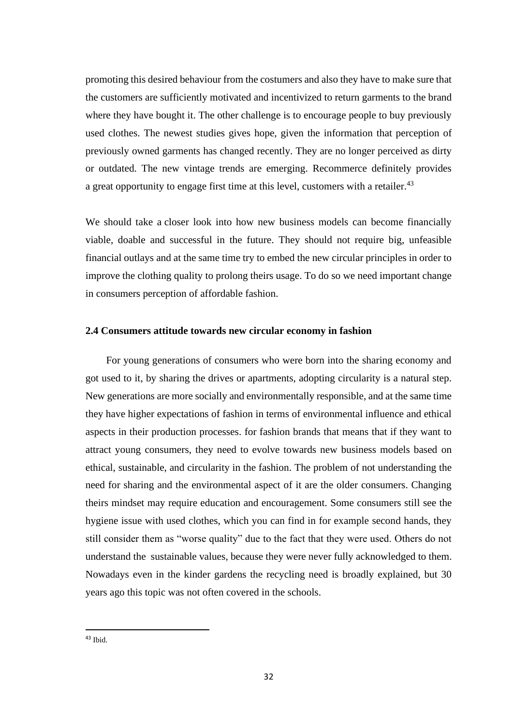promoting this desired behaviour from the costumers and also they have to make sure that the customers are sufficiently motivated and incentivized to return garments to the brand where they have bought it. The other challenge is to encourage people to buy previously used clothes. The newest studies gives hope, given the information that perception of previously owned garments has changed recently. They are no longer perceived as dirty or outdated. The new vintage trends are emerging. Recommerce definitely provides a great opportunity to engage first time at this level, customers with a retailer.<sup>43</sup>

We should take a closer look into how new business models can become financially viable, doable and successful in the future. They should not require big, unfeasible financial outlays and at the same time try to embed the new circular principles in order to improve the clothing quality to prolong theirs usage. To do so we need important change in consumers perception of affordable fashion.

#### **2.4 Consumers attitude towards new circular economy in fashion**

 For young generations of consumers who were born into the sharing economy and got used to it, by sharing the drives or apartments, adopting circularity is a natural step. New generations are more socially and environmentally responsible, and at the same time they have higher expectations of fashion in terms of environmental influence and ethical aspects in their production processes. for fashion brands that means that if they want to attract young consumers, they need to evolve towards new business models based on ethical, sustainable, and circularity in the fashion. The problem of not understanding the need for sharing and the environmental aspect of it are the older consumers. Changing theirs mindset may require education and encouragement. Some consumers still see the hygiene issue with used clothes, which you can find in for example second hands, they still consider them as "worse quality" due to the fact that they were used. Others do not understand the sustainable values, because they were never fully acknowledged to them. Nowadays even in the kinder gardens the recycling need is broadly explained, but 30 years ago this topic was not often covered in the schools.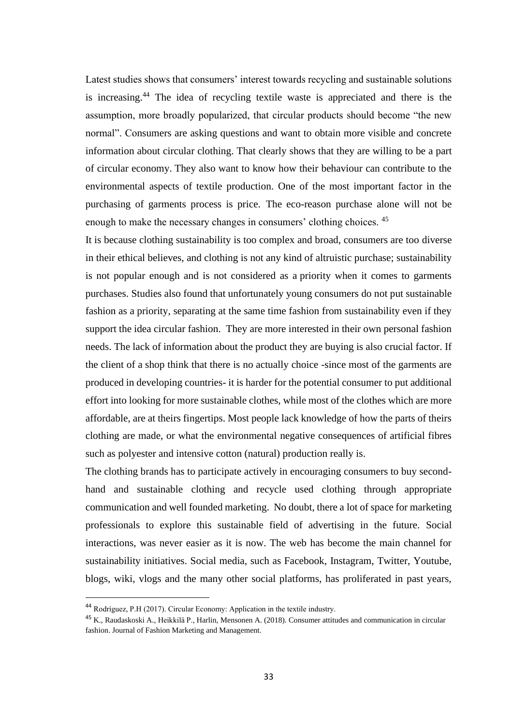Latest studies shows that consumers' interest towards recycling and sustainable solutions is increasing.<sup>44</sup> The idea of recycling textile waste is appreciated and there is the assumption, more broadly popularized, that circular products should become "the new normal". Consumers are asking questions and want to obtain more visible and concrete information about circular clothing. That clearly shows that they are willing to be a part of circular economy. They also want to know how their behaviour can contribute to the environmental aspects of textile production. One of the most important factor in the purchasing of garments process is price. The eco-reason purchase alone will not be enough to make the necessary changes in consumers' clothing choices. <sup>45</sup>

It is because clothing sustainability is too complex and broad, consumers are too diverse in their ethical believes, and clothing is not any kind of altruistic purchase; sustainability is not popular enough and is not considered as a priority when it comes to garments purchases. Studies also found that unfortunately young consumers do not put sustainable fashion as a priority, separating at the same time fashion from sustainability even if they support the idea circular fashion. They are more interested in their own personal fashion needs. The lack of information about the product they are buying is also crucial factor. If the client of a shop think that there is no actually choice -since most of the garments are produced in developing countries- it is harder for the potential consumer to put additional effort into looking for more sustainable clothes, while most of the clothes which are more affordable, are at theirs fingertips. Most people lack knowledge of how the parts of theirs clothing are made, or what the environmental negative consequences of artificial fibres such as polyester and intensive cotton (natural) production really is.

The clothing brands has to participate actively in encouraging consumers to buy secondhand and sustainable clothing and recycle used clothing through appropriate communication and well founded marketing. No doubt, there a lot of space for marketing professionals to explore this sustainable field of advertising in the future. Social interactions, was never easier as it is now. The web has become the main channel for sustainability initiatives. Social media, such as Facebook, Instagram, Twitter, Youtube, blogs, wiki, vlogs and the many other social platforms, has proliferated in past years,

<sup>44</sup> Rodríguez, P.H (2017). Circular Economy: Application in the textile industry.

<sup>45</sup> K., Raudaskoski A., Heikkilä P., Harlin, Mensonen A. (2018). Consumer attitudes and communication in circular fashion. Journal of Fashion Marketing and Management.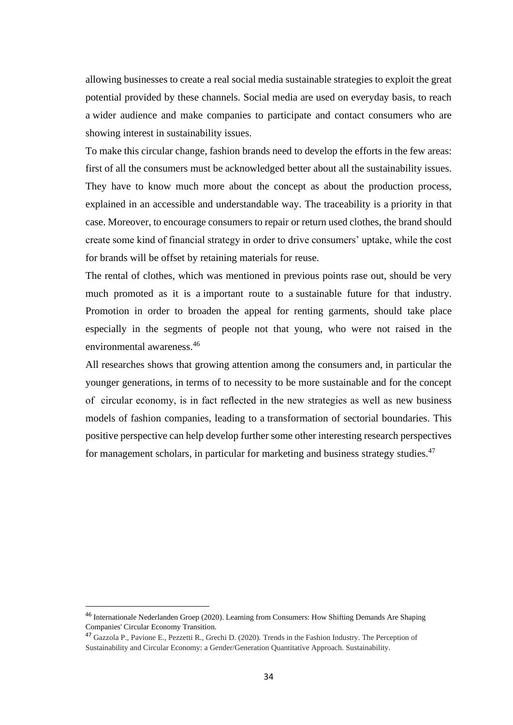allowing businesses to create a real social media sustainable strategies to exploit the great potential provided by these channels. Social media are used on everyday basis, to reach a wider audience and make companies to participate and contact consumers who are showing interest in sustainability issues.

To make this circular change, fashion brands need to develop the efforts in the few areas: first of all the consumers must be acknowledged better about all the sustainability issues. They have to know much more about the concept as about the production process, explained in an accessible and understandable way. The traceability is a priority in that case. Moreover, to encourage consumers to repair or return used clothes, the brand should create some kind of financial strategy in order to drive consumers' uptake, while the cost for brands will be offset by retaining materials for reuse.

The rental of clothes, which was mentioned in previous points rase out, should be very much promoted as it is a important route to a sustainable future for that industry. Promotion in order to broaden the appeal for renting garments, should take place especially in the segments of people not that young, who were not raised in the environmental awareness.<sup>46</sup>

All researches shows that growing attention among the consumers and, in particular the younger generations, in terms of to necessity to be more sustainable and for the concept of circular economy, is in fact reflected in the new strategies as well as new business models of fashion companies, leading to a transformation of sectorial boundaries. This positive perspective can help develop further some other interesting research perspectives for management scholars, in particular for marketing and business strategy studies.<sup>47</sup>

<sup>46</sup> Internationale Nederlanden Groep (2020). Learning from Consumers: How Shifting Demands Are Shaping Companies' Circular Economy Transition.

<sup>47</sup> Gazzola P., Pavione E., Pezzetti R., Grechi D. (2020). Trends in the Fashion Industry. The Perception of Sustainability and Circular Economy: a Gender/Generation Quantitative Approach. Sustainability.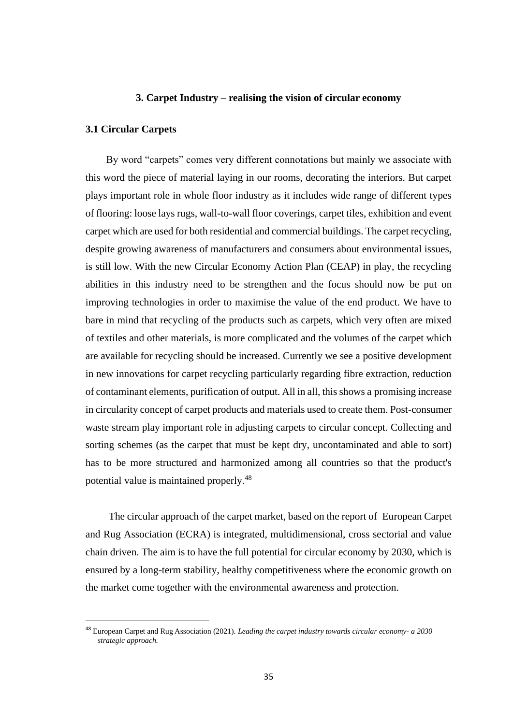#### **3. Carpet Industry – realising the vision of circular economy**

#### **3.1 Circular Carpets**

 By word "carpets" comes very different connotations but mainly we associate with this word the piece of material laying in our rooms, decorating the interiors. But carpet plays important role in whole floor industry as it includes wide range of different types of flooring: loose lays rugs, wall-to-wall floor coverings, carpet tiles, exhibition and event carpet which are used for both residential and commercial buildings. The carpet recycling, despite growing awareness of manufacturers and consumers about environmental issues, is still low. With the new Circular Economy Action Plan (CEAP) in play, the recycling abilities in this industry need to be strengthen and the focus should now be put on improving technologies in order to maximise the value of the end product. We have to bare in mind that recycling of the products such as carpets, which very often are mixed of textiles and other materials, is more complicated and the volumes of the carpet which are available for recycling should be increased. Currently we see a positive development in new innovations for carpet recycling particularly regarding fibre extraction, reduction of contaminant elements, purification of output. All in all, this shows a promising increase in circularity concept of carpet products and materials used to create them. Post-consumer waste stream play important role in adjusting carpets to circular concept. Collecting and sorting schemes (as the carpet that must be kept dry, uncontaminated and able to sort) has to be more structured and harmonized among all countries so that the product's potential value is maintained properly.<sup>48</sup>

 The circular approach of the carpet market, based on the report of European Carpet and Rug Association (ECRA) is integrated, multidimensional, cross sectorial and value chain driven. The aim is to have the full potential for circular economy by 2030, which is ensured by a long-term stability, healthy competitiveness where the economic growth on the market come together with the environmental awareness and protection.

<sup>48</sup> European Carpet and Rug Association (2021). *Leading the carpet industry towards circular economy- a 2030 strategic approach.*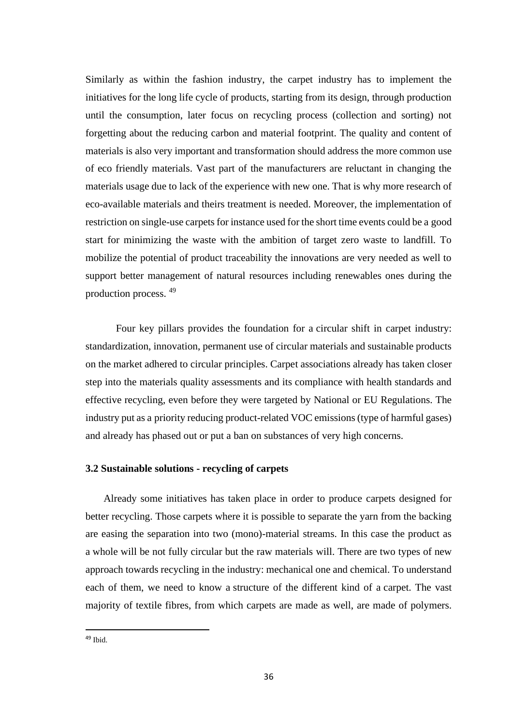Similarly as within the fashion industry, the carpet industry has to implement the initiatives for the long life cycle of products, starting from its design, through production until the consumption, later focus on recycling process (collection and sorting) not forgetting about the reducing carbon and material footprint. The quality and content of materials is also very important and transformation should address the more common use of eco friendly materials. Vast part of the manufacturers are reluctant in changing the materials usage due to lack of the experience with new one. That is why more research of eco-available materials and theirs treatment is needed. Moreover, the implementation of restriction on single-use carpets for instance used for the short time events could be a good start for minimizing the waste with the ambition of target zero waste to landfill. To mobilize the potential of product traceability the innovations are very needed as well to support better management of natural resources including renewables ones during the production process. <sup>49</sup>

Four key pillars provides the foundation for a circular shift in carpet industry: standardization, innovation, permanent use of circular materials and sustainable products on the market adhered to circular principles. Carpet associations already has taken closer step into the materials quality assessments and its compliance with health standards and effective recycling, even before they were targeted by National or EU Regulations. The industry put as a priority reducing product-related VOC emissions (type of harmful gases) and already has phased out or put a ban on substances of very high concerns.

#### **3.2 Sustainable solutions - recycling of carpets**

 Already some initiatives has taken place in order to produce carpets designed for better recycling. Those carpets where it is possible to separate the yarn from the backing are easing the separation into two (mono)-material streams. In this case the product as a whole will be not fully circular but the raw materials will. There are two types of new approach towards recycling in the industry: mechanical one and chemical. To understand each of them, we need to know a structure of the different kind of a carpet. The vast majority of textile fibres, from which carpets are made as well, are made of polymers.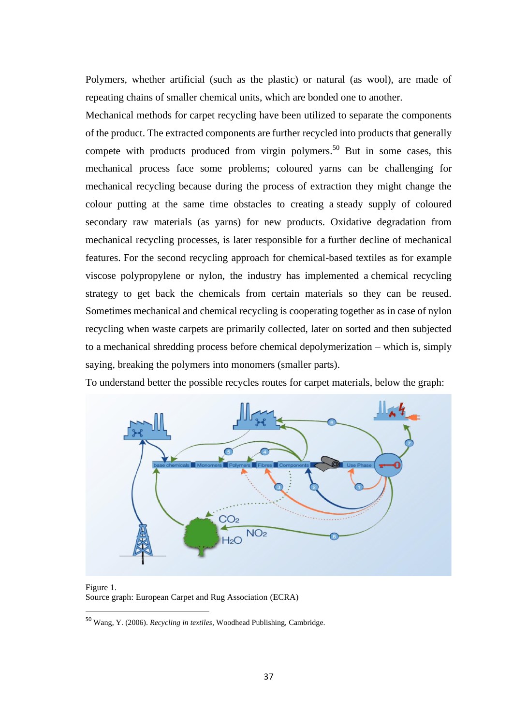Polymers, whether artificial (such as the plastic) or natural (as wool), are made of repeating chains of smaller chemical units, which are bonded one to another.

Mechanical methods for carpet recycling have been utilized to separate the components of the product. The extracted components are further recycled into products that generally compete with products produced from virgin polymers.<sup>50</sup> But in some cases, this mechanical process face some problems; coloured yarns can be challenging for mechanical recycling because during the process of extraction they might change the colour putting at the same time obstacles to creating a steady supply of coloured secondary raw materials (as yarns) for new products. Oxidative degradation from mechanical recycling processes, is later responsible for a further decline of mechanical features. For the second recycling approach for chemical-based textiles as for example viscose polypropylene or nylon, the industry has implemented a chemical recycling strategy to get back the chemicals from certain materials so they can be reused. Sometimes mechanical and chemical recycling is cooperating together as in case of nylon recycling when waste carpets are primarily collected, later on sorted and then subjected to a mechanical shredding process before chemical depolymerization – which is, simply saying, breaking the polymers into monomers (smaller parts).

To understand better the possible recycles routes for carpet materials, below the graph:



Figure 1. Source graph: European Carpet and Rug Association (ECRA)

<sup>50</sup> Wang, Y. (2006). *Recycling in textiles,* Woodhead Publishing, Cambridge.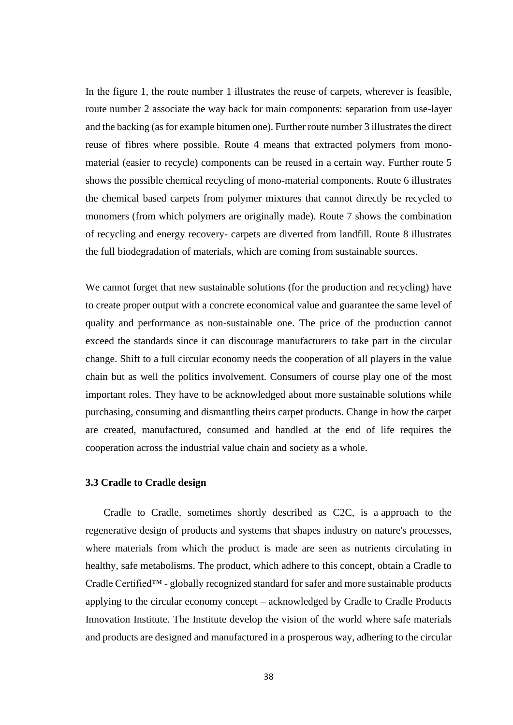In the figure 1, the route number 1 illustrates the reuse of carpets, wherever is feasible, route number 2 associate the way back for main components: separation from use-layer and the backing (as for example bitumen one). Further route number 3 illustrates the direct reuse of fibres where possible. Route 4 means that extracted polymers from monomaterial (easier to recycle) components can be reused in a certain way. Further route 5 shows the possible chemical recycling of mono-material components. Route 6 illustrates the chemical based carpets from polymer mixtures that cannot directly be recycled to monomers (from which polymers are originally made). Route 7 shows the combination of recycling and energy recovery- carpets are diverted from landfill. Route 8 illustrates the full biodegradation of materials, which are coming from sustainable sources.

We cannot forget that new sustainable solutions (for the production and recycling) have to create proper output with a concrete economical value and guarantee the same level of quality and performance as non-sustainable one. The price of the production cannot exceed the standards since it can discourage manufacturers to take part in the circular change. Shift to a full circular economy needs the cooperation of all players in the value chain but as well the politics involvement. Consumers of course play one of the most important roles. They have to be acknowledged about more sustainable solutions while purchasing, consuming and dismantling theirs carpet products. Change in how the carpet are created, manufactured, consumed and handled at the end of life requires the cooperation across the industrial value chain and society as a whole.

#### **3.3 Cradle to Cradle design**

 Cradle to Cradle, sometimes shortly described as C2C, is a approach to the regenerative design of products and systems that shapes industry on nature's processes, where materials from which the product is made are seen as nutrients circulating in healthy, safe metabolisms. The product, which adhere to this concept, obtain a Cradle to Cradle Certified™ - globally recognized standard for safer and more sustainable products applying to the circular economy concept – acknowledged by Cradle to Cradle Products Innovation Institute. The Institute develop the vision of the world where safe materials and products are designed and manufactured in a prosperous way, adhering to the circular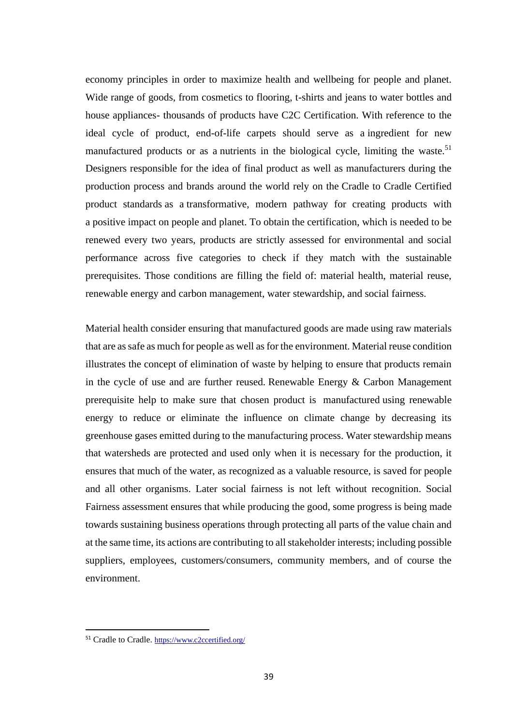economy principles in order to maximize health and wellbeing for people and planet. Wide range of goods, from cosmetics to flooring, t-shirts and jeans to water bottles and house appliances- thousands of products have C2C Certification. With reference to the ideal cycle of product, end-of-life carpets should serve as a ingredient for new manufactured products or as a nutrients in the biological cycle, limiting the waste.<sup>51</sup> Designers responsible for the idea of final product as well as manufacturers during the production process and brands around the world rely on the Cradle to Cradle Certified product standards as a transformative, modern pathway for creating products with a positive impact on people and planet. To obtain the certification, which is needed to be renewed every two years, products are strictly assessed for environmental and social performance across five categories to check if they match with the sustainable prerequisites. Those conditions are filling the field of: material health, material reuse, renewable energy and carbon management, water stewardship, and social fairness.

Material health consider ensuring that manufactured goods are made using raw materials that are as safe as much for people as well as for the environment. Material reuse condition illustrates the concept of elimination of waste by helping to ensure that products remain in the cycle of use and are further reused. Renewable Energy  $\&$  Carbon Management prerequisite help to make sure that chosen product is manufactured using renewable energy to reduce or eliminate the influence on climate change by decreasing its greenhouse gases emitted during to the manufacturing process. Water stewardship means that watersheds are protected and used only when it is necessary for the production, it ensures that much of the water, as recognized as a valuable resource, is saved for people and all other organisms. Later social fairness is not left without recognition. Social Fairness assessment ensures that while producing the good, some progress is being made towards sustaining business operations through protecting all parts of the value chain and at the same time, its actions are contributing to all stakeholder interests; including possible suppliers, employees, customers/consumers, community members, and of course the environment.

<sup>51</sup> Cradle to Cradle. <https://www.c2ccertified.org/>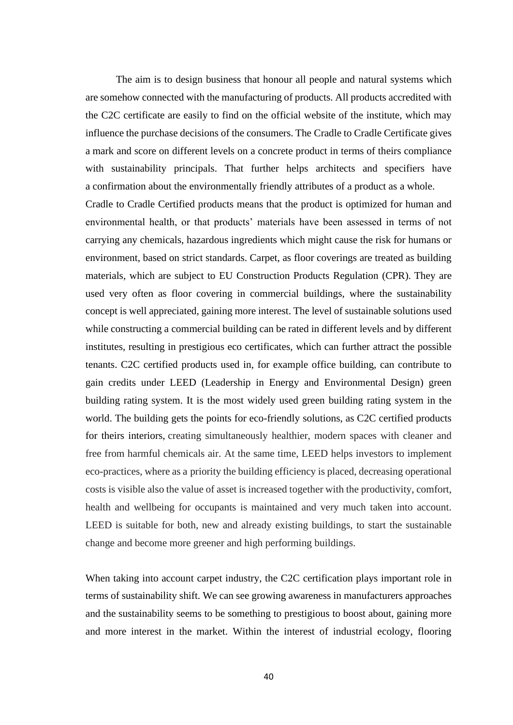The aim is to design business that honour all people and natural systems which are somehow connected with the manufacturing of products. All products accredited with the C2C certificate are easily to find on the official website of the institute, which may influence the purchase decisions of the consumers. The Cradle to Cradle Certificate gives a mark and score on different levels on a concrete product in terms of theirs compliance with sustainability principals. That further helps architects and specifiers have a confirmation about the environmentally friendly attributes of a product as a whole.

Cradle to Cradle Certified products means that the product is optimized for human and environmental health, or that products' materials have been assessed in terms of not carrying any chemicals, hazardous ingredients which might cause the risk for humans or environment, based on strict standards. Carpet, as floor coverings are treated as building materials, which are subject to EU Construction Products Regulation (CPR). They are used very often as floor covering in commercial buildings, where the sustainability concept is well appreciated, gaining more interest. The level of sustainable solutions used while constructing a commercial building can be rated in different levels and by different institutes, resulting in prestigious eco certificates, which can further attract the possible tenants. C2C certified products used in, for example office building, can contribute to gain credits under LEED (Leadership in Energy and Environmental Design) green building rating system. It is the most widely used green building rating system in the world. The building gets the points for eco-friendly solutions, as C2C certified products for theirs interiors, creating simultaneously healthier, modern spaces with cleaner and free from harmful chemicals air. At the same time, LEED helps investors to implement eco-practices, where as a priority the building efficiency is placed, decreasing operational costs is visible also the value of asset is increased together with the productivity, comfort, health and wellbeing for occupants is maintained and very much taken into account. LEED is suitable for both, new and already existing buildings, to start the sustainable change and become more greener and high performing buildings.

When taking into account carpet industry, the C2C certification plays important role in terms of sustainability shift. We can see growing awareness in manufacturers approaches and the sustainability seems to be something to prestigious to boost about, gaining more and more interest in the market. Within the interest of industrial ecology, flooring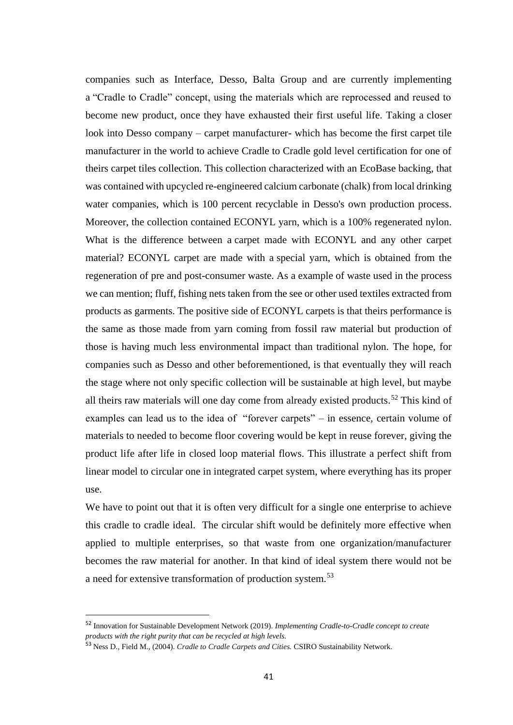companies such as Interface, Desso, Balta Group and are currently implementing a "Cradle to Cradle" concept, using the materials which are reprocessed and reused to become new product, once they have exhausted their first useful life. Taking a closer look into Desso company – carpet manufacturer- which has become the first carpet tile manufacturer in the world to achieve Cradle to Cradle gold level certification for one of theirs carpet tiles collection. This collection characterized with an EcoBase backing, that was contained with upcycled re-engineered calcium carbonate (chalk) from local drinking water companies, which is 100 percent recyclable in Desso's own production process. Moreover, the collection contained ECONYL yarn, which is a 100% regenerated nylon. What is the difference between a carpet made with ECONYL and any other carpet material? ECONYL carpet are made with a special yarn, which is obtained from the regeneration of pre and post-consumer waste. As a example of waste used in the process we can mention; fluff, fishing nets taken from the see or other used textiles extracted from products as garments. The positive side of ECONYL carpets is that theirs performance is the same as those made from yarn coming from fossil raw material but production of those is having much less environmental impact than traditional nylon. The hope, for companies such as Desso and other beforementioned, is that eventually they will reach the stage where not only specific collection will be sustainable at high level, but maybe all theirs raw materials will one day come from already existed products.<sup>52</sup> This kind of examples can lead us to the idea of "forever carpets" – in essence, certain volume of materials to needed to become floor covering would be kept in reuse forever, giving the product life after life in closed loop material flows. This illustrate a perfect shift from linear model to circular one in integrated carpet system, where everything has its proper use.

We have to point out that it is often very difficult for a single one enterprise to achieve this cradle to cradle ideal. The circular shift would be definitely more effective when applied to multiple enterprises, so that waste from one organization/manufacturer becomes the raw material for another. In that kind of ideal system there would not be a need for extensive transformation of production system.<sup>53</sup>

<sup>52</sup> Innovation for Sustainable Development Network (2019). *Implementing Cradle-to-Cradle concept to create products with the right purity that can be recycled at high levels.*

<sup>53</sup> Ness D., Field M., (2004). *Cradle to Cradle Carpets and Cities.* CSIRO Sustainability Network.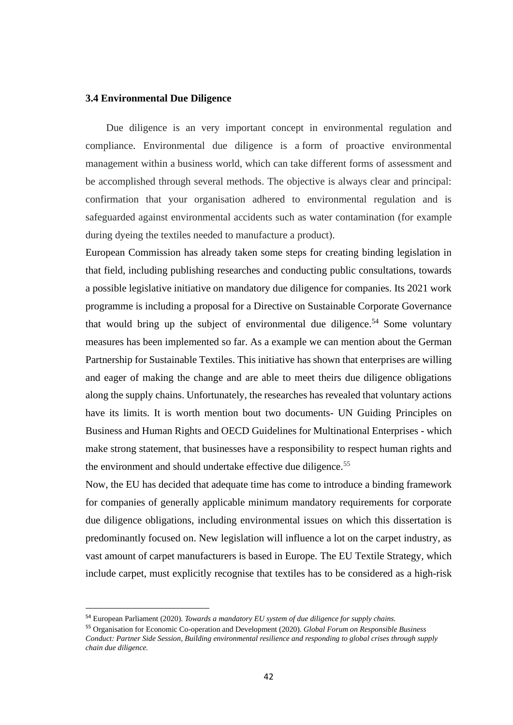#### **3.4 Environmental Due Diligence**

 Due diligence is an very important concept in environmental regulation and compliance. Environmental due diligence is a form of proactive environmental management within a business world, which can take different forms of assessment and be accomplished through several methods. The objective is always clear and principal: confirmation that your organisation adhered to environmental regulation and is safeguarded against environmental accidents such as water contamination (for example during dyeing the textiles needed to manufacture a product).

European Commission has already taken some steps for creating binding legislation in that field, including publishing researches and conducting public consultations, towards a possible legislative initiative on mandatory due diligence for companies. Its 2021 work programme is including a proposal for a Directive on Sustainable Corporate Governance that would bring up the subject of environmental due diligence.<sup>54</sup> Some voluntary measures has been implemented so far. As a example we can mention about the German Partnership for Sustainable Textiles. This initiative has shown that enterprises are willing and eager of making the change and are able to meet theirs due diligence obligations along the supply chains. Unfortunately, the researches has revealed that voluntary actions have its limits. It is worth mention bout two documents- UN Guiding Principles on Business and Human Rights and OECD Guidelines for Multinational Enterprises - which make strong statement, that businesses have a responsibility to respect human rights and the environment and should undertake effective due diligence.<sup>55</sup>

Now, the EU has decided that adequate time has come to introduce a binding framework for companies of generally applicable minimum mandatory requirements for corporate due diligence obligations, including environmental issues on which this dissertation is predominantly focused on. New legislation will influence a lot on the carpet industry, as vast amount of carpet manufacturers is based in Europe. The EU Textile Strategy, which include carpet, must explicitly recognise that textiles has to be considered as a high-risk

<sup>54</sup> European Parliament (2020). *Towards a mandatory EU system of due diligence for supply chains.*

<sup>55</sup> Organisation for Economic Co-operation and Development (2020). *Global Forum on Responsible Business Conduct: Partner Side Session, Building environmental resilience and responding to global crises through supply chain due diligence.*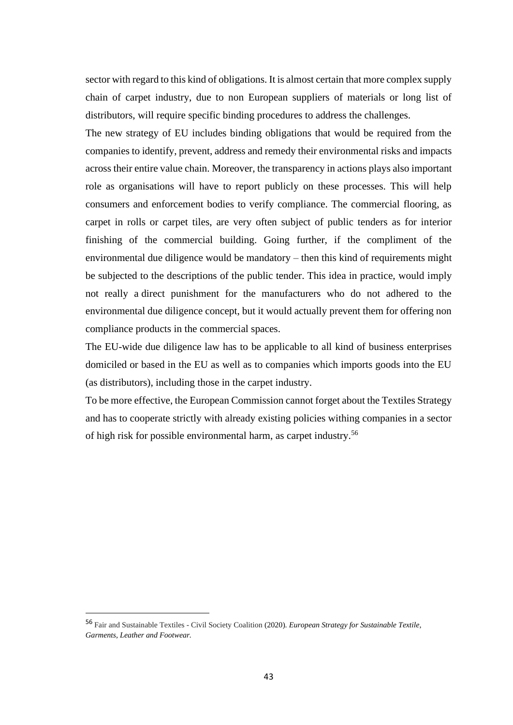sector with regard to this kind of obligations. It is almost certain that more complex supply chain of carpet industry, due to non European suppliers of materials or long list of distributors, will require specific binding procedures to address the challenges.

The new strategy of EU includes binding obligations that would be required from the companies to identify, prevent, address and remedy their environmental risks and impacts across their entire value chain. Moreover, the transparency in actions plays also important role as organisations will have to report publicly on these processes. This will help consumers and enforcement bodies to verify compliance. The commercial flooring, as carpet in rolls or carpet tiles, are very often subject of public tenders as for interior finishing of the commercial building. Going further, if the compliment of the environmental due diligence would be mandatory – then this kind of requirements might be subjected to the descriptions of the public tender. This idea in practice, would imply not really a direct punishment for the manufacturers who do not adhered to the environmental due diligence concept, but it would actually prevent them for offering non compliance products in the commercial spaces.

The EU-wide due diligence law has to be applicable to all kind of business enterprises domiciled or based in the EU as well as to companies which imports goods into the EU (as distributors), including those in the carpet industry.

To be more effective, the European Commission cannot forget about the Textiles Strategy and has to cooperate strictly with already existing policies withing companies in a sector of high risk for possible environmental harm, as carpet industry.<sup>56</sup>

<sup>56</sup> Fair and Sustainable Textiles - Civil Society Coalition (2020). *European Strategy for Sustainable Textile, Garments, Leather and Footwear.*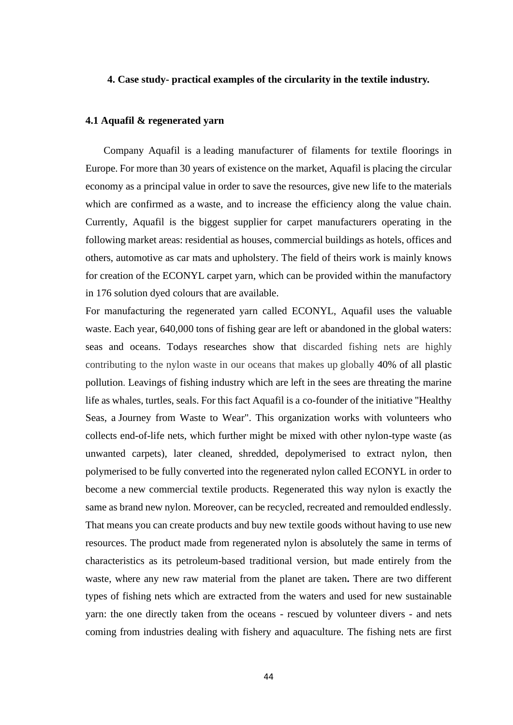#### **4. Case study- practical examples of the circularity in the textile industry.**

#### **4.1 Aquafil & regenerated yarn**

 Company Aquafil is a leading manufacturer of filaments for textile floorings in Europe. For more than 30 years of existence on the market, Aquafil is placing the circular economy as a principal value in order to save the resources, give new life to the materials which are confirmed as a waste, and to increase the efficiency along the value chain. Currently, Aquafil is the biggest supplier for carpet manufacturers operating in the following market areas: residential as houses, commercial buildings as hotels, offices and others, automotive as car mats and upholstery. The field of theirs work is mainly knows for creation of the ECONYL carpet yarn, which can be provided within the manufactory in 176 solution dyed colours that are available.

For manufacturing the regenerated yarn called ECONYL, Aquafil uses the valuable waste. Each year, 640,000 tons of fishing gear are left or abandoned in the global waters: seas and oceans. Todays researches show that discarded fishing nets are highly contributing to the nylon waste in our oceans that makes up globally 40% of all plastic pollution. Leavings of fishing industry which are left in the sees are threating the marine life as whales, turtles, seals. For this fact Aquafil is a co-founder of the initiative "Healthy Seas, a Journey from Waste to Wear". This organization works with volunteers who collects end-of-life nets, which further might be mixed with other nylon-type waste (as unwanted carpets), later cleaned, shredded, depolymerised to extract nylon, then polymerised to be fully converted into the regenerated nylon called ECONYL in order to become a new commercial textile products. Regenerated this way nylon is exactly the same as brand new nylon. Moreover, can be recycled, recreated and remoulded endlessly. That means you can create products and buy new textile goods without having to use new resources. The product made from regenerated nylon is absolutely the same in terms of characteristics as its petroleum-based traditional version, but made entirely from the waste, where any new raw material from the planet are taken**.** There are two different types of fishing nets which are extracted from the waters and used for new sustainable yarn: the one directly taken from the oceans - rescued by volunteer divers - and nets coming from industries dealing with fishery and aquaculture. The fishing nets are first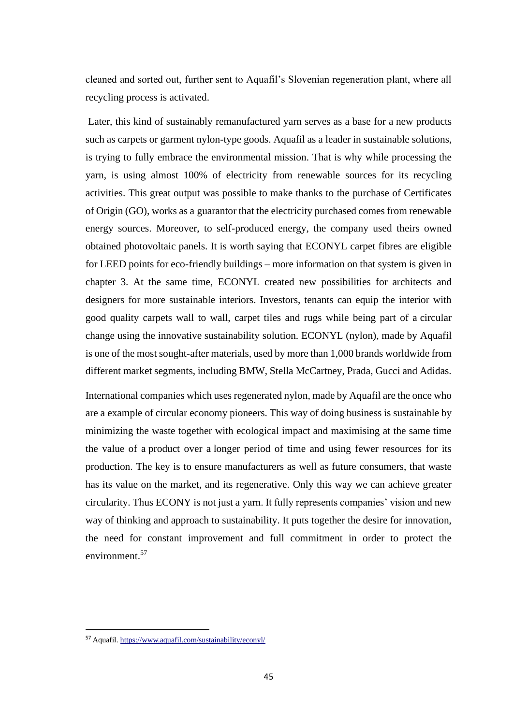cleaned and sorted out, further sent to Aquafil's Slovenian regeneration plant, where all recycling process is activated.

Later, this kind of sustainably remanufactured yarn serves as a base for a new products such as carpets or garment nylon-type goods. Aquafil as a leader in sustainable solutions, is trying to fully embrace the environmental mission. That is why while processing the yarn, is using almost 100% of electricity from renewable sources for its recycling activities. This great output was possible to make thanks to the purchase of Certificates of Origin (GO), works as a guarantor that the electricity purchased comes from renewable energy sources. Moreover, to self-produced energy, the company used theirs owned obtained photovoltaic panels. It is worth saying that ECONYL carpet fibres are eligible for LEED points for eco-friendly buildings – more information on that system is given in chapter 3. At the same time, ECONYL created new possibilities for architects and designers for more sustainable interiors. Investors, tenants can equip the interior with good quality carpets wall to wall, carpet tiles and rugs while being part of a circular change using the innovative sustainability solution. ECONYL (nylon), made by Aquafil is one of the most sought-after materials, used by more than 1,000 brands worldwide from different market segments, including BMW, Stella McCartney, Prada, Gucci and Adidas.

International companies which uses regenerated nylon, made by Aquafil are the once who are a example of circular economy pioneers. This way of doing business is sustainable by minimizing the waste together with ecological impact and maximising at the same time the value of a product over a longer period of time and using fewer resources for its production. The key is to ensure manufacturers as well as future consumers, that waste has its value on the market, and its regenerative. Only this way we can achieve greater circularity. Thus ECONY is not just a yarn. It fully represents companies' vision and new way of thinking and approach to sustainability. It puts together the desire for innovation, the need for constant improvement and full commitment in order to protect the environment.<sup>57</sup>

<sup>57</sup> Aquafil[. https://www.aquafil.com/sustainability/econyl/](https://www.aquafil.com/sustainability/econyl/)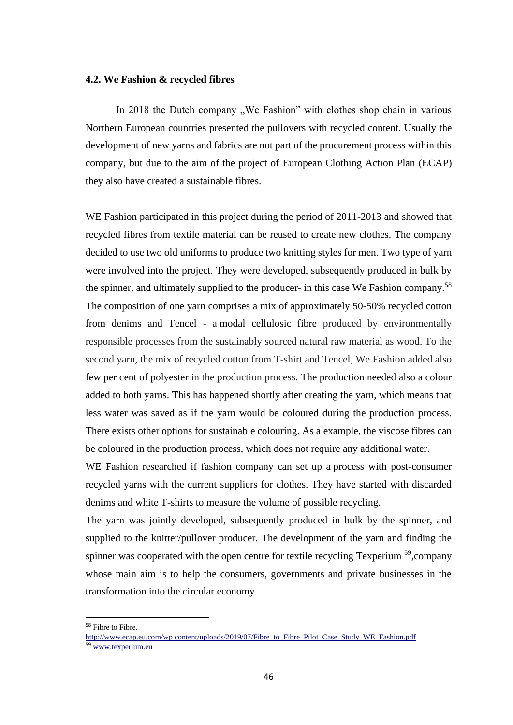#### **4.2. We Fashion & recycled fibres**

In 2018 the Dutch company "We Fashion" with clothes shop chain in various Northern European countries presented the pullovers with recycled content. Usually the development of new yarns and fabrics are not part of the procurement process within this company, but due to the aim of the project of European Clothing Action Plan (ECAP) they also have created a sustainable fibres.

WE Fashion participated in this project during the period of 2011-2013 and showed that recycled fibres from textile material can be reused to create new clothes. The company decided to use two old uniforms to produce two knitting styles for men. Two type of yarn were involved into the project. They were developed, subsequently produced in bulk by the spinner, and ultimately supplied to the producer- in this case We Fashion company.<sup>58</sup> The composition of one yarn comprises a mix of approximately 50-50% recycled cotton from denims and Tencel - a modal cellulosic fibre produced by environmentally responsible processes from the sustainably sourced natural raw material as wood. To the second yarn, the mix of recycled cotton from T-shirt and Tencel, We Fashion added also few per cent of polyester in the production process. The production needed also a colour added to both yarns. This has happened shortly after creating the yarn, which means that less water was saved as if the yarn would be coloured during the production process. There exists other options for sustainable colouring. As a example, the viscose fibres can be coloured in the production process, which does not require any additional water.

WE Fashion researched if fashion company can set up a process with post-consumer recycled yarns with the current suppliers for clothes. They have started with discarded denims and white T-shirts to measure the volume of possible recycling.

The yarn was jointly developed, subsequently produced in bulk by the spinner, and supplied to the knitter/pullover producer. The development of the yarn and finding the spinner was cooperated with the open centre for textile recycling Texperium  $^{59}$ , company whose main aim is to help the consumers, governments and private businesses in the transformation into the circular economy.

<sup>58</sup> Fibre to Fibre.

[http://www.ecap.eu.com/wp content/uploads/2019/07/Fibre\\_to\\_Fibre\\_Pilot\\_Case\\_Study\\_WE\\_Fashion.pdf](http://www.ecap.eu.com/wp%20content/uploads/2019/07/Fibre_to_Fibre_Pilot_Case_Study_WE_Fashion.pdf) 59 [www.texperium.eu](http://www.texperium.eu/)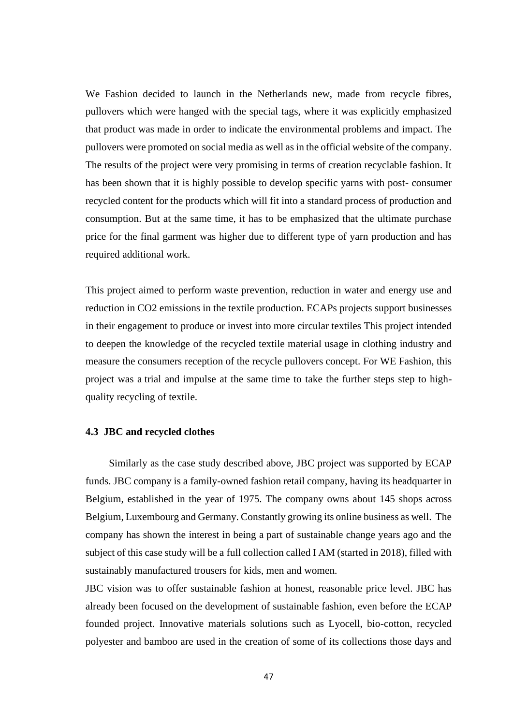We Fashion decided to launch in the Netherlands new, made from recycle fibres, pullovers which were hanged with the special tags, where it was explicitly emphasized that product was made in order to indicate the environmental problems and impact. The pullovers were promoted on social media as well as in the official website of the company. The results of the project were very promising in terms of creation recyclable fashion. It has been shown that it is highly possible to develop specific yarns with post- consumer recycled content for the products which will fit into a standard process of production and consumption. But at the same time, it has to be emphasized that the ultimate purchase price for the final garment was higher due to different type of yarn production and has required additional work.

This project aimed to perform waste prevention, reduction in water and energy use and reduction in CO2 emissions in the textile production. ECAPs projects support businesses in their engagement to produce or invest into more circular textiles This project intended to deepen the knowledge of the recycled textile material usage in clothing industry and measure the consumers reception of the recycle pullovers concept. For WE Fashion, this project was a trial and impulse at the same time to take the further steps step to highquality recycling of textile.

## **4.3 JBC and recycled clothes**

 Similarly as the case study described above, JBC project was supported by ECAP funds. JBC company is a family-owned fashion retail company, having its headquarter in Belgium, established in the year of 1975. The company owns about 145 shops across Belgium, Luxembourg and Germany. Constantly growing its online business as well. The company has shown the interest in being a part of sustainable change years ago and the subject of this case study will be a full collection called I AM (started in 2018), filled with sustainably manufactured trousers for kids, men and women.

JBC vision was to offer sustainable fashion at honest, reasonable price level. JBC has already been focused on the development of sustainable fashion, even before the ECAP founded project. Innovative materials solutions such as Lyocell, bio-cotton, recycled polyester and bamboo are used in the creation of some of its collections those days and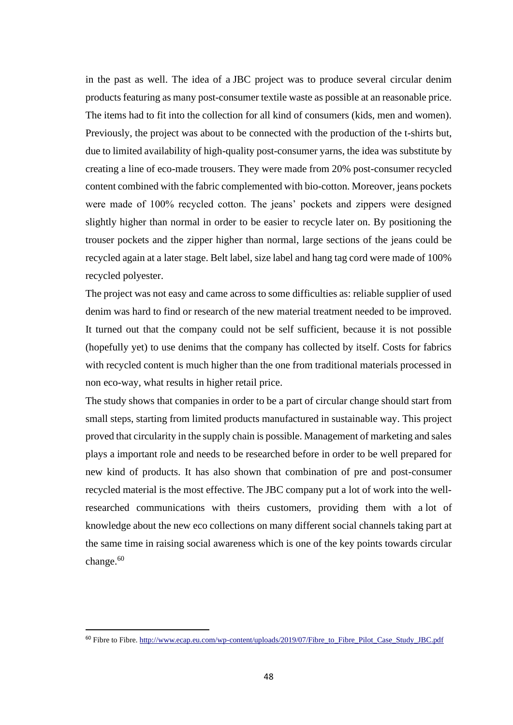in the past as well. The idea of a JBC project was to produce several circular denim products featuring as many post-consumer textile waste as possible at an reasonable price. The items had to fit into the collection for all kind of consumers (kids, men and women). Previously, the project was about to be connected with the production of the t-shirts but, due to limited availability of high-quality post-consumer yarns, the idea was substitute by creating a line of eco-made trousers. They were made from 20% post-consumer recycled content combined with the fabric complemented with bio-cotton. Moreover, jeans pockets were made of 100% recycled cotton. The jeans' pockets and zippers were designed slightly higher than normal in order to be easier to recycle later on. By positioning the trouser pockets and the zipper higher than normal, large sections of the jeans could be recycled again at a later stage. Belt label, size label and hang tag cord were made of 100% recycled polyester.

The project was not easy and came across to some difficulties as: reliable supplier of used denim was hard to find or research of the new material treatment needed to be improved. It turned out that the company could not be self sufficient, because it is not possible (hopefully yet) to use denims that the company has collected by itself. Costs for fabrics with recycled content is much higher than the one from traditional materials processed in non eco-way, what results in higher retail price.

The study shows that companies in order to be a part of circular change should start from small steps, starting from limited products manufactured in sustainable way. This project proved that circularity in the supply chain is possible. Management of marketing and sales plays a important role and needs to be researched before in order to be well prepared for new kind of products. It has also shown that combination of pre and post-consumer recycled material is the most effective. The JBC company put a lot of work into the wellresearched communications with theirs customers, providing them with a lot of knowledge about the new eco collections on many different social channels taking part at the same time in raising social awareness which is one of the key points towards circular change.<sup>60</sup>

<sup>&</sup>lt;sup>60</sup> Fibre to Fibre. [http://www.ecap.eu.com/wp-content/uploads/2019/07/Fibre\\_to\\_Fibre\\_Pilot\\_Case\\_Study\\_JBC.pdf](http://www.ecap.eu.com/wp-content/uploads/2019/07/Fibre_to_Fibre_Pilot_Case_Study_JBC.pdf)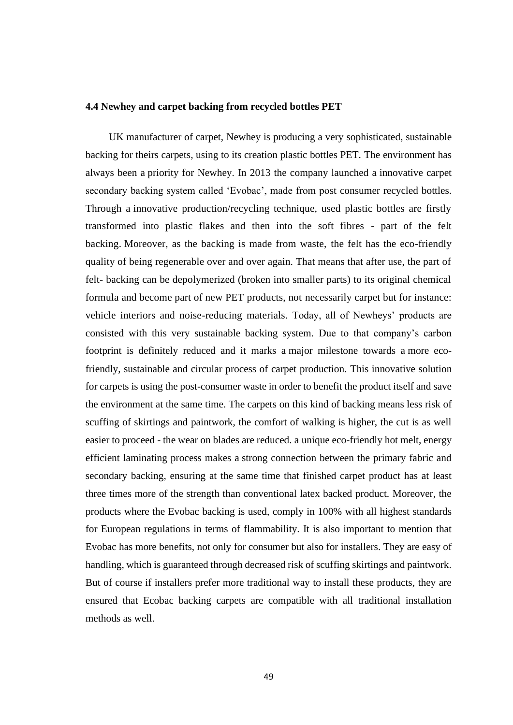#### **4.4 Newhey and carpet backing from recycled bottles PET**

 UK manufacturer of carpet, Newhey is producing a very sophisticated, sustainable backing for theirs carpets, using to its creation plastic bottles PET. The environment has always been a priority for Newhey. In 2013 the company launched a innovative carpet secondary backing system called 'Evobac', made from post consumer recycled bottles. Through a innovative production/recycling technique, used plastic bottles are firstly transformed into plastic flakes and then into the soft fibres - part of the felt backing. Moreover, as the backing is made from waste, the felt has the eco-friendly quality of being regenerable over and over again. That means that after use, the part of felt- backing can be depolymerized (broken into smaller parts) to its original chemical formula and become part of new PET products, not necessarily carpet but for instance: vehicle interiors and noise-reducing materials. Today, all of Newheys' products are consisted with this very sustainable backing system. Due to that company's carbon footprint is definitely reduced and it marks a major milestone towards a more ecofriendly, sustainable and circular process of carpet production. This innovative solution for carpets is using the post-consumer waste in order to benefit the product itself and save the environment at the same time. The carpets on this kind of backing means less risk of scuffing of skirtings and paintwork, the comfort of walking is higher, the cut is as well easier to proceed - the wear on blades are reduced. a unique eco-friendly hot melt, energy efficient laminating process makes a strong connection between the primary fabric and secondary backing, ensuring at the same time that finished carpet product has at least three times more of the strength than conventional latex backed product. Moreover, the products where the Evobac backing is used, comply in 100% with all highest standards for European regulations in terms of flammability. It is also important to mention that Evobac has more benefits, not only for consumer but also for installers. They are easy of handling, which is guaranteed through decreased risk of scuffing skirtings and paintwork. But of course if installers prefer more traditional way to install these products, they are ensured that Ecobac backing carpets are compatible with all traditional installation methods as well.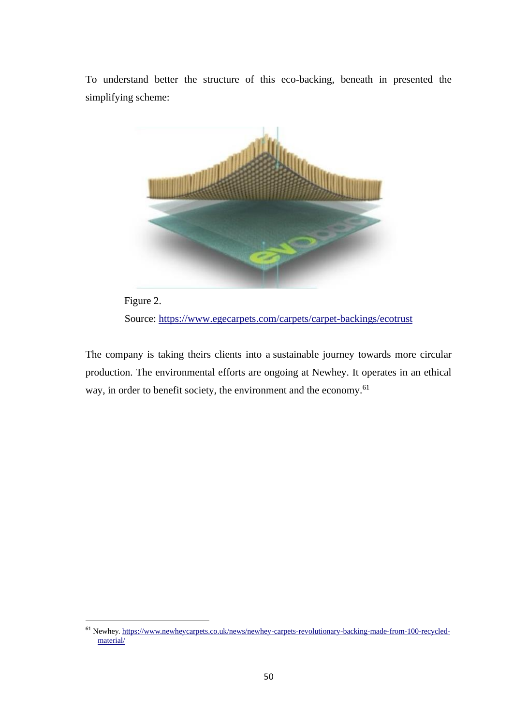To understand better the structure of this eco-backing, beneath in presented the simplifying scheme:



 Figure 2. Source:<https://www.egecarpets.com/carpets/carpet-backings/ecotrust>

The company is taking theirs clients into a sustainable journey towards more circular production. The environmental efforts are ongoing at Newhey. It operates in an ethical way, in order to benefit society, the environment and the economy.<sup>61</sup>

<sup>61</sup> Newhey. [https://www.newheycarpets.co.uk/news/newhey-carpets-revolutionary-backing-made-from-100-recycled](https://www.newheycarpets.co.uk/news/newhey-carpets-revolutionary-backing-made-from-100-recycled-material/)[material/](https://www.newheycarpets.co.uk/news/newhey-carpets-revolutionary-backing-made-from-100-recycled-material/)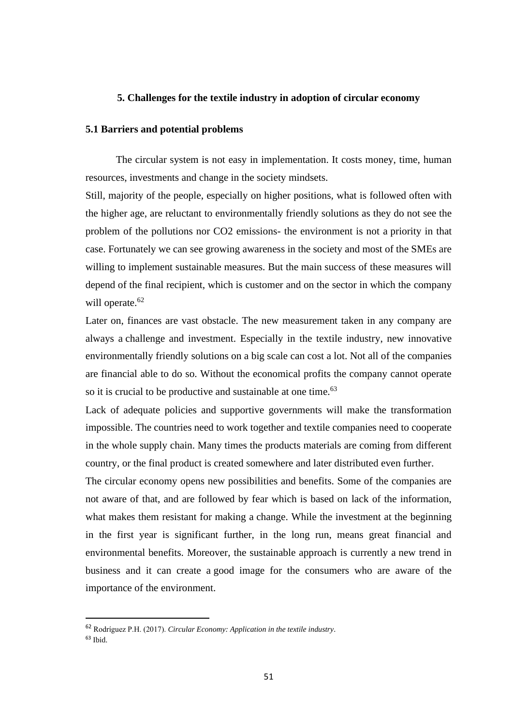#### **5. Challenges for the textile industry in adoption of circular economy**

#### **5.1 Barriers and potential problems**

The circular system is not easy in implementation. It costs money, time, human resources, investments and change in the society mindsets.

Still, majority of the people, especially on higher positions, what is followed often with the higher age, are reluctant to environmentally friendly solutions as they do not see the problem of the pollutions nor CO2 emissions- the environment is not a priority in that case. Fortunately we can see growing awareness in the society and most of the SMEs are willing to implement sustainable measures. But the main success of these measures will depend of the final recipient, which is customer and on the sector in which the company will operate.<sup>62</sup>

Later on, finances are vast obstacle. The new measurement taken in any company are always a challenge and investment. Especially in the textile industry, new innovative environmentally friendly solutions on a big scale can cost a lot. Not all of the companies are financial able to do so. Without the economical profits the company cannot operate so it is crucial to be productive and sustainable at one time.<sup>63</sup>

Lack of adequate policies and supportive governments will make the transformation impossible. The countries need to work together and textile companies need to cooperate in the whole supply chain. Many times the products materials are coming from different country, or the final product is created somewhere and later distributed even further.

The circular economy opens new possibilities and benefits. Some of the companies are not aware of that, and are followed by fear which is based on lack of the information, what makes them resistant for making a change. While the investment at the beginning in the first year is significant further, in the long run, means great financial and environmental benefits. Moreover, the sustainable approach is currently a new trend in business and it can create a good image for the consumers who are aware of the importance of the environment.

<sup>62</sup> Rodríguez P.H. (2017). *Circular Economy: Application in the textile industry*.  $63$  Ibid.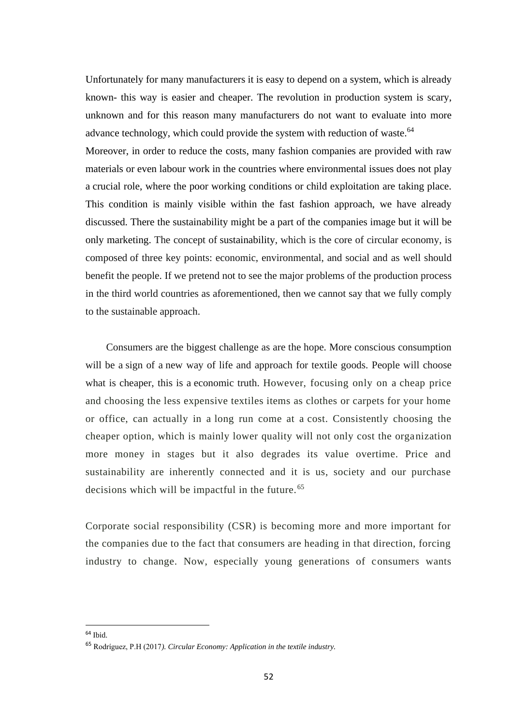Unfortunately for many manufacturers it is easy to depend on a system, which is already known- this way is easier and cheaper. The revolution in production system is scary, unknown and for this reason many manufacturers do not want to evaluate into more advance technology, which could provide the system with reduction of waste.<sup>64</sup>

Moreover, in order to reduce the costs, many fashion companies are provided with raw materials or even labour work in the countries where environmental issues does not play a crucial role, where the poor working conditions or child exploitation are taking place. This condition is mainly visible within the fast fashion approach, we have already discussed. There the sustainability might be a part of the companies image but it will be only marketing. The concept of sustainability, which is the core of circular economy, is composed of three key points: economic, environmental, and social and as well should benefit the people. If we pretend not to see the major problems of the production process in the third world countries as aforementioned, then we cannot say that we fully comply to the sustainable approach.

 Consumers are the biggest challenge as are the hope. More conscious consumption will be a sign of a new way of life and approach for textile goods. People will choose what is cheaper, this is a economic truth. However, focusing only on a cheap price and choosing the less expensive textiles items as clothes or carpets for your home or office, can actually in a long run come at a cost. Consistently choosing the cheaper option, which is mainly lower quality will not only cost the organization more money in stages but it also degrades its value overtime. Price and sustainability are inherently connected and it is us, society and our purchase decisions which will be impactful in the future.<sup>65</sup>

Corporate social responsibility (CSR) is becoming more and more important for the companies due to the fact that consumers are heading in that direction, forcing industry to change. Now, especially young generations of consumers wants

<sup>64</sup> Ibid.

<sup>65</sup> Rodríguez, P.H (2017*). Circular Economy: Application in the textile industry.*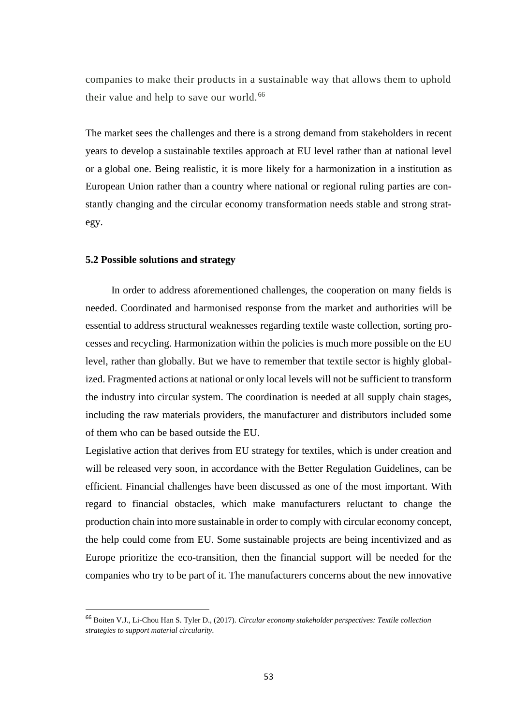companies to make their products in a sustainable way that allows them to uphold their value and help to save our world.<sup>66</sup>

The market sees the challenges and there is a strong demand from stakeholders in recent years to develop a sustainable textiles approach at EU level rather than at national level or a global one. Being realistic, it is more likely for a harmonization in a institution as European Union rather than a country where national or regional ruling parties are constantly changing and the circular economy transformation needs stable and strong strategy.

#### **5.2 Possible solutions and strategy**

 In order to address aforementioned challenges, the cooperation on many fields is needed. Coordinated and harmonised response from the market and authorities will be essential to address structural weaknesses regarding textile waste collection, sorting processes and recycling. Harmonization within the policies is much more possible on the EU level, rather than globally. But we have to remember that textile sector is highly globalized. Fragmented actions at national or only local levels will not be sufficient to transform the industry into circular system. The coordination is needed at all supply chain stages, including the raw materials providers, the manufacturer and distributors included some of them who can be based outside the EU.

Legislative action that derives from EU strategy for textiles, which is under creation and will be released very soon, in accordance with the Better Regulation Guidelines, can be efficient. Financial challenges have been discussed as one of the most important. With regard to financial obstacles, which make manufacturers reluctant to change the production chain into more sustainable in order to comply with circular economy concept, the help could come from EU. Some sustainable projects are being incentivized and as Europe prioritize the eco-transition, then the financial support will be needed for the companies who try to be part of it. The manufacturers concerns about the new innovative

<sup>66</sup> Boiten V.J., Li-Chou Han S. Tyler D., (2017). *Circular economy stakeholder perspectives: Textile collection strategies to support material circularity.*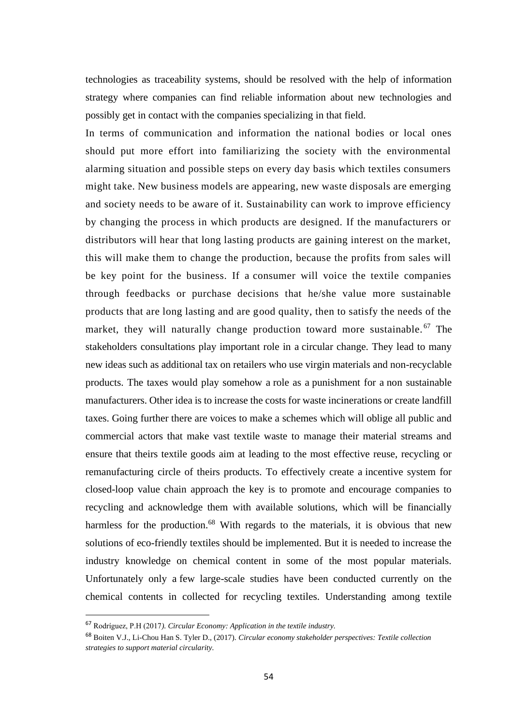technologies as traceability systems, should be resolved with the help of information strategy where companies can find reliable information about new technologies and possibly get in contact with the companies specializing in that field.

In terms of communication and information the national bodies or local ones should put more effort into familiarizing the society with the environmental alarming situation and possible steps on every day basis which textiles consumers might take. New business models are appearing, new waste disposals are emerging and society needs to be aware of it. Sustainability can work to improve efficiency by changing the process in which products are designed. If the manufacturers or distributors will hear that long lasting products are gaining interest on the market, this will make them to change the production, because the profits from sales will be key point for the business. If a consumer will voice the textile companies through feedbacks or purchase decisions that he/she value more sustainable products that are long lasting and are good quality, then to satisfy the needs of the market, they will naturally change production toward more sustainable.<sup>67</sup> The stakeholders consultations play important role in a circular change. They lead to many new ideas such as additional tax on retailers who use virgin materials and non-recyclable products. The taxes would play somehow a role as a punishment for a non sustainable manufacturers. Other idea is to increase the costs for waste incinerations or create landfill taxes. Going further there are voices to make a schemes which will oblige all public and commercial actors that make vast textile waste to manage their material streams and ensure that theirs textile goods aim at leading to the most effective reuse, recycling or remanufacturing circle of theirs products. To effectively create a incentive system for closed-loop value chain approach the key is to promote and encourage companies to recycling and acknowledge them with available solutions, which will be financially harmless for the production.<sup>68</sup> With regards to the materials, it is obvious that new solutions of eco-friendly textiles should be implemented. But it is needed to increase the industry knowledge on chemical content in some of the most popular materials. Unfortunately only a few large-scale studies have been conducted currently on the chemical contents in collected for recycling textiles. Understanding among textile

<sup>67</sup> Rodríguez, P.H (2017*). Circular Economy: Application in the textile industry.*

<sup>68</sup> Boiten V.J., Li-Chou Han S. Tyler D., (2017). *Circular economy stakeholder perspectives: Textile collection strategies to support material circularity.*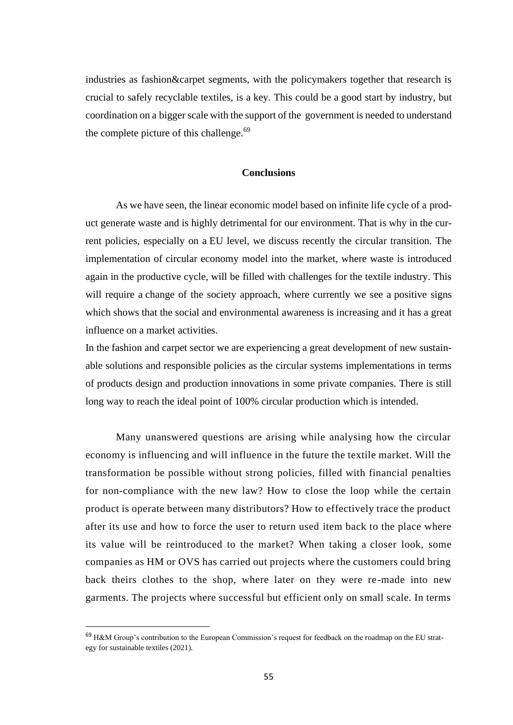industries as fashion&carpet segments, with the policymakers together that research is crucial to safely recyclable textiles, is a key. This could be a good start by industry, but coordination on a bigger scale with the support of the government is needed to understand the complete picture of this challenge. $69$ 

#### **Conclusions**

As we have seen, the linear economic model based on infinite life cycle of a product generate waste and is highly detrimental for our environment. That is why in the current policies, especially on a EU level, we discuss recently the circular transition. The implementation of circular economy model into the market, where waste is introduced again in the productive cycle, will be filled with challenges for the textile industry. This will require a change of the society approach, where currently we see a positive signs which shows that the social and environmental awareness is increasing and it has a great influence on a market activities.

In the fashion and carpet sector we are experiencing a great development of new sustainable solutions and responsible policies as the circular systems implementations in terms of products design and production innovations in some private companies. There is still long way to reach the ideal point of 100% circular production which is intended.

Many unanswered questions are arising while analysing how the circular economy is influencing and will influence in the future the textile market. Will the transformation be possible without strong policies, filled with financial penalties for non-compliance with the new law? How to close the loop while the certain product is operate between many distributors? How to effectively trace the product after its use and how to force the user to return used item back to the place where its value will be reintroduced to the market? When taking a closer look, some companies as HM or OVS has carried out projects where the customers could bring back theirs clothes to the shop, where later on they were re-made into new garments. The projects where successful but efficient only on small scale. In terms

 $69$  H&M Group's contribution to the European Commission's request for feedback on the roadmap on the EU strategy for sustainable textiles (2021).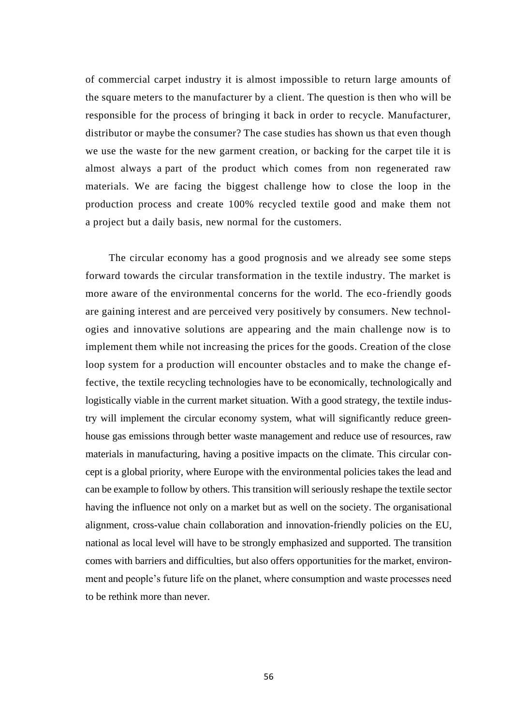of commercial carpet industry it is almost impossible to return large amounts of the square meters to the manufacturer by a client. The question is then who will be responsible for the process of bringing it back in order to recycle. Manufacturer, distributor or maybe the consumer? The case studies has shown us that even though we use the waste for the new garment creation, or backing for the carpet tile it is almost always a part of the product which comes from non regenerated raw materials. We are facing the biggest challenge how to close the loop in the production process and create 100% recycled textile good and make them not a project but a daily basis, new normal for the customers.

 The circular economy has a good prognosis and we already see some steps forward towards the circular transformation in the textile industry. The market is more aware of the environmental concerns for the world. The eco-friendly goods are gaining interest and are perceived very positively by consumers. New technologies and innovative solutions are appearing and the main challenge now is to implement them while not increasing the prices for the goods. Creation of the close loop system for a production will encounter obstacles and to make the change effective, the textile recycling technologies have to be economically, technologically and logistically viable in the current market situation. With a good strategy, the textile industry will implement the circular economy system, what will significantly reduce greenhouse gas emissions through better waste management and reduce use of resources, raw materials in manufacturing, having a positive impacts on the climate. This circular concept is a global priority, where Europe with the environmental policies takes the lead and can be example to follow by others. This transition will seriously reshape the textile sector having the influence not only on a market but as well on the society. The organisational alignment, cross-value chain collaboration and innovation-friendly policies on the EU, national as local level will have to be strongly emphasized and supported. The transition comes with barriers and difficulties, but also offers opportunities for the market, environment and people's future life on the planet, where consumption and waste processes need to be rethink more than never.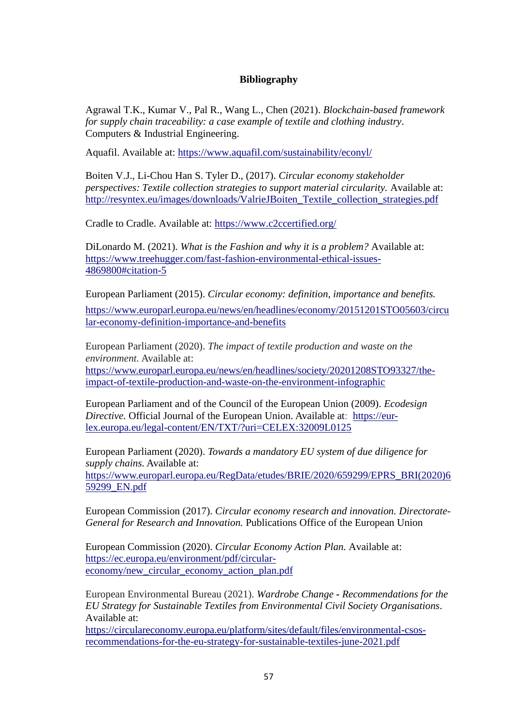# **Bibliography**

Agrawal T.K., Kumar V., Pal R., Wang L., Chen (2021). *Blockchain-based framework for supply chain traceability: a case example of textile and clothing industry*. Computers & Industrial Engineering.

Aquafil. Available at:<https://www.aquafil.com/sustainability/econyl/>

Boiten V.J., Li-Chou Han S. Tyler D., (2017). *Circular economy stakeholder perspectives: Textile collection strategies to support material circularity.* Available at: [http://resyntex.eu/images/downloads/ValrieJBoiten\\_Textile\\_collection\\_strategies.pdf](http://resyntex.eu/images/downloads/ValrieJBoiten_Textile_collection_strategies.pdf)

Cradle to Cradle. Available at:<https://www.c2ccertified.org/>

DiLonardo M. (2021). *What is the Fashion and why it is a problem?* Available at: [https://www.treehugger.com/fast-fashion-environmental-ethical-issues-](https://www.treehugger.com/fast-fashion-environmental-ethical-issues-4869800#citation-5)[4869800#citation-5](https://www.treehugger.com/fast-fashion-environmental-ethical-issues-4869800#citation-5)

European Parliament (2015). *Circular economy: definition, importance and benefits.*

[https://www.europarl.europa.eu/news/en/headlines/economy/20151201STO05603/circu](https://www.europarl.europa.eu/news/en/headlines/economy/20151201STO05603/circular-economy-definition-importance-and-benefits) [lar-economy-definition-importance-and-benefits](https://www.europarl.europa.eu/news/en/headlines/economy/20151201STO05603/circular-economy-definition-importance-and-benefits)

European Parliament (2020). *The impact of textile production and waste on the environment.* Available at:

[https://www.europarl.europa.eu/news/en/headlines/society/20201208STO93327/the](https://www.europarl.europa.eu/news/en/headlines/society/20201208STO93327/the-impact-of-textile-production-and-waste-on-the-environment-infographic)[impact-of-textile-production-and-waste-on-the-environment-infographic](https://www.europarl.europa.eu/news/en/headlines/society/20201208STO93327/the-impact-of-textile-production-and-waste-on-the-environment-infographic)

European Parliament and of the Council of the European Union (2009). *Ecodesign Directive.* Official Journal of the European Union. Available at: [https://eur](https://eur-lex.europa.eu/legal-content/EN/TXT/?uri=CELEX:32009L0125)[lex.europa.eu/legal-content/EN/TXT/?uri=CELEX:32009L0125](https://eur-lex.europa.eu/legal-content/EN/TXT/?uri=CELEX:32009L0125) 

European Parliament (2020). *Towards a mandatory EU system of due diligence for supply chains.* Available at: [https://www.europarl.europa.eu/RegData/etudes/BRIE/2020/659299/EPRS\\_BRI\(2020\)6](https://www.europarl.europa.eu/RegData/etudes/BRIE/2020/659299/EPRS_BRI(2020)659299_EN.pdf) [59299\\_EN.pdf](https://www.europarl.europa.eu/RegData/etudes/BRIE/2020/659299/EPRS_BRI(2020)659299_EN.pdf)

European Commission (2017). *Circular economy research and innovation. Directorate-General for Research and Innovation.* Publications Office of the European Union

European Commission (2020). *Circular Economy Action Plan.* Available at: [https://ec.europa.eu/environment/pdf/circular](https://ec.europa.eu/environment/pdf/circular-economy/new_circular_economy_action_plan.pdf)[economy/new\\_circular\\_economy\\_action\\_plan.pdf](https://ec.europa.eu/environment/pdf/circular-economy/new_circular_economy_action_plan.pdf)

European Environmental Bureau (2021). *Wardrobe Change - Recommendations for the EU Strategy for Sustainable Textiles from Environmental Civil Society Organisations*. Available at:

[https://circulareconomy.europa.eu/platform/sites/default/files/environmental-csos](https://circulareconomy.europa.eu/platform/sites/default/files/environmental-csos-recommendations-for-the-eu-strategy-for-sustainable-textiles-june-2021.pdf)[recommendations-for-the-eu-strategy-for-sustainable-textiles-june-2021.pdf](https://circulareconomy.europa.eu/platform/sites/default/files/environmental-csos-recommendations-for-the-eu-strategy-for-sustainable-textiles-june-2021.pdf)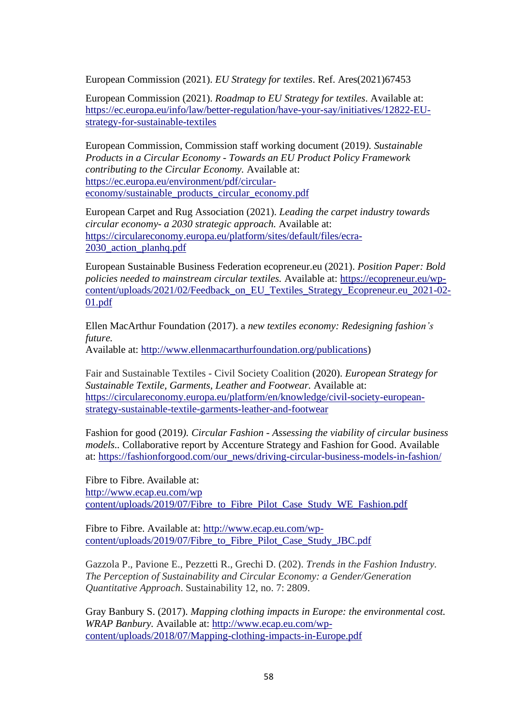European Commission (2021). *EU Strategy for textiles*. Ref. Ares(2021)67453

European Commission (2021). *Roadmap to EU Strategy for textiles*. Available at: [https://ec.europa.eu/info/law/better-regulation/have-your-say/initiatives/12822-EU](https://ec.europa.eu/info/law/better-regulation/have-your-say/initiatives/12822-EU-strategy-for-sustainable-textiles)[strategy-for-sustainable-textiles](https://ec.europa.eu/info/law/better-regulation/have-your-say/initiatives/12822-EU-strategy-for-sustainable-textiles)

European Commission, Commission staff working document (2019*). Sustainable Products in a Circular Economy - Towards an EU Product Policy Framework contributing to the Circular Economy.* Available at: [https://ec.europa.eu/environment/pdf/circular](https://ec.europa.eu/environment/pdf/circular-economy/sustainable_products_circular_economy.pdf)[economy/sustainable\\_products\\_circular\\_economy.pdf](https://ec.europa.eu/environment/pdf/circular-economy/sustainable_products_circular_economy.pdf)

European Carpet and Rug Association (2021). *Leading the carpet industry towards circular economy- a 2030 strategic approach.* Available at: [https://circulareconomy.europa.eu/platform/sites/default/files/ecra-](https://circulareconomy.europa.eu/platform/sites/default/files/ecra-2030_action_planhq.pdf)[2030\\_action\\_planhq.pdf](https://circulareconomy.europa.eu/platform/sites/default/files/ecra-2030_action_planhq.pdf)

European Sustainable Business Federation ecopreneur.eu (2021). *Position Paper: Bold policies needed to mainstream circular textiles.* Available at: [https://ecopreneur.eu/wp](https://ecopreneur.eu/wp-content/uploads/2021/02/Feedback_on_EU_Textiles_Strategy_Ecopreneur.eu_2021-02-01.pdf)[content/uploads/2021/02/Feedback\\_on\\_EU\\_Textiles\\_Strategy\\_Ecopreneur.eu\\_2021-02-](https://ecopreneur.eu/wp-content/uploads/2021/02/Feedback_on_EU_Textiles_Strategy_Ecopreneur.eu_2021-02-01.pdf) [01.pdf](https://ecopreneur.eu/wp-content/uploads/2021/02/Feedback_on_EU_Textiles_Strategy_Ecopreneur.eu_2021-02-01.pdf)

Ellen MacArthur Foundation (2017). a *new textiles economy: Redesigning fashion's future.* Available at: [http://www.ellenmacarthurfoundation.org/publications\)](http://www.ellenmacarthurfoundation.org/publications)

Fair and Sustainable Textiles - Civil Society Coalition (2020). *European Strategy for Sustainable Textile, Garments, Leather and Footwear.* Available at: [https://circulareconomy.europa.eu/platform/en/knowledge/civil-society-european](https://circulareconomy.europa.eu/platform/en/knowledge/civil-society-european-strategy-sustainable-textile-garments-leather-and-footwear)[strategy-sustainable-textile-garments-leather-and-footwear](https://circulareconomy.europa.eu/platform/en/knowledge/civil-society-european-strategy-sustainable-textile-garments-leather-and-footwear)

Fashion for good (2019*). Circular Fashion - Assessing the viability of circular business models..* Collaborative report by Accenture Strategy and Fashion for Good. Available at: [https://fashionforgood.com/our\\_news/driving-circular-business-models-in-fashion/](https://fashionforgood.com/our_news/driving-circular-business-models-in-fashion/)

Fibre to Fibre. Available at: [http://www.ecap.eu.com/wp](http://www.ecap.eu.com/wp%20content/uploads/2019/07/Fibre_to_Fibre_Pilot_Case_Study_WE_Fashion.pdf)  content/uploads/2019/07/Fibre to Fibre Pilot Case Study WE Fashion.pdf

Fibre to Fibre. Available at: [http://www.ecap.eu.com/wp](http://www.ecap.eu.com/wp-content/uploads/2019/07/Fibre_to_Fibre_Pilot_Case_Study_JBC.pdf)[content/uploads/2019/07/Fibre\\_to\\_Fibre\\_Pilot\\_Case\\_Study\\_JBC.pdf](http://www.ecap.eu.com/wp-content/uploads/2019/07/Fibre_to_Fibre_Pilot_Case_Study_JBC.pdf)

Gazzola P., Pavione E., Pezzetti R., Grechi D. (202). *Trends in the Fashion Industry. The Perception of Sustainability and Circular Economy: a Gender/Generation Quantitative Approach*. Sustainability 12, no. 7: 2809.

Gray Banbury S. (2017). *Mapping clothing impacts in Europe: the environmental cost. WRAP Banbury.* Available at: [http://www.ecap.eu.com/wp](http://www.ecap.eu.com/wp-content/uploads/2018/07/Mapping-clothing-impacts-in-Europe.pdf)[content/uploads/2018/07/Mapping-clothing-impacts-in-Europe.pdf](http://www.ecap.eu.com/wp-content/uploads/2018/07/Mapping-clothing-impacts-in-Europe.pdf)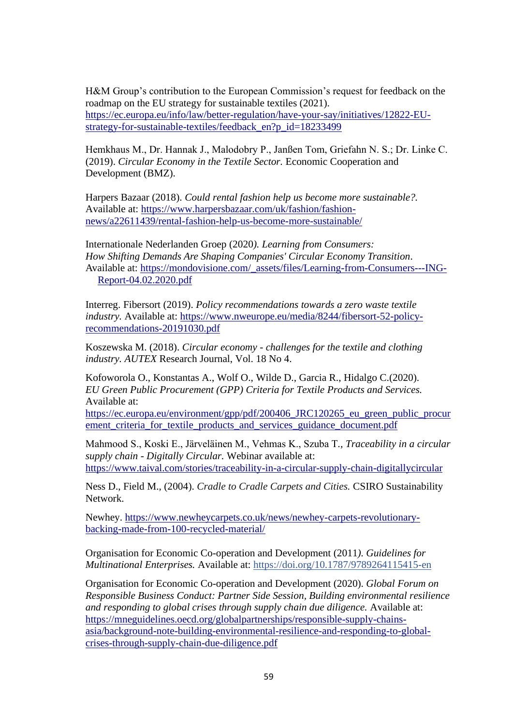H&M Group's contribution to the European Commission's request for feedback on the roadmap on the EU strategy for sustainable textiles (2021). [https://ec.europa.eu/info/law/better-regulation/have-your-say/initiatives/12822-EU](https://ec.europa.eu/info/law/better-regulation/have-your-say/initiatives/12822-EU-strategy-for-sustainable-textiles/feedback_en?p_id=18233499)[strategy-for-sustainable-textiles/feedback\\_en?p\\_id=18233499](https://ec.europa.eu/info/law/better-regulation/have-your-say/initiatives/12822-EU-strategy-for-sustainable-textiles/feedback_en?p_id=18233499)

Hemkhaus M., Dr. Hannak J., Malodobry P., Janßen Tom, Griefahn N. S.; Dr. Linke C. (2019). *Circular Economy in the Textile Sector.* Economic Cooperation and Development (BMZ).

Harpers Bazaar (2018). *Could rental fashion help us become more sustainable?.* Available at: [https://www.harpersbazaar.com/uk/fashion/fashion](https://www.harpersbazaar.com/uk/fashion/fashion-news/a22611439/rental-fashion-help-us-become-more-sustainable/)[news/a22611439/rental-fashion-help-us-become-more-sustainable/](https://www.harpersbazaar.com/uk/fashion/fashion-news/a22611439/rental-fashion-help-us-become-more-sustainable/)

Internationale Nederlanden Groep (2020*). Learning from Consumers: How Shifting Demands Are Shaping Companies' Circular Economy Transition*. Available at: [https://mondovisione.com/\\_assets/files/Learning-from-Consumers---ING-](https://mondovisione.com/_assets/files/Learning-from-Consumers---ING-Report-04.02.2020.pdf)[Report-04.02.2020.pdf](https://mondovisione.com/_assets/files/Learning-from-Consumers---ING-Report-04.02.2020.pdf)

Interreg. Fibersort (2019). *Policy recommendations towards a zero waste textile industry.* Available at: [https://www.nweurope.eu/media/8244/fibersort-52-policy](https://www.nweurope.eu/media/8244/fibersort-52-policy-recommendations-20191030.pdf)[recommendations-20191030.pdf](https://www.nweurope.eu/media/8244/fibersort-52-policy-recommendations-20191030.pdf)

Koszewska M. (2018). *Circular economy - challenges for the textile and clothing industry. AUTEX* Research Journal, Vol. 18 No 4.

Kofoworola O., Konstantas A., Wolf O., Wilde D., Garcia R., Hidalgo C.(2020). *EU Green Public Procurement (GPP) Criteria for Textile Products and Services.*  Available at:

[https://ec.europa.eu/environment/gpp/pdf/200406\\_JRC120265\\_eu\\_green\\_public\\_procur](https://ec.europa.eu/environment/gpp/pdf/200406_JRC120265_eu_green_public_procurement_criteria_for_textile_products_and_services_guidance_document.pdf) [ement\\_criteria\\_for\\_textile\\_products\\_and\\_services\\_guidance\\_document.pdf](https://ec.europa.eu/environment/gpp/pdf/200406_JRC120265_eu_green_public_procurement_criteria_for_textile_products_and_services_guidance_document.pdf)

Mahmood S., Koski E., Järveläinen M., Vehmas K., Szuba T*., Traceability in a circular supply chain - Digitally Circular.* Webinar available at: <https://www.taival.com/stories/traceability-in-a-circular-supply-chain-digitallycircular>

Ness D., Field M., (2004). *Cradle to Cradle Carpets and Cities.* CSIRO Sustainability Network.

Newhey. [https://www.newheycarpets.co.uk/news/newhey-carpets-revolutionary](https://www.newheycarpets.co.uk/news/newhey-carpets-revolutionary-backing-made-from-100-recycled-material/)[backing-made-from-100-recycled-material/](https://www.newheycarpets.co.uk/news/newhey-carpets-revolutionary-backing-made-from-100-recycled-material/) 

Organisation for Economic Co-operation and Development (2011*). Guidelines for Multinational Enterprises.* Available at:<https://doi.org/10.1787/9789264115415-en>

Organisation for Economic Co-operation and Development (2020). *Global Forum on Responsible Business Conduct: Partner Side Session, Building environmental resilience and responding to global crises through supply chain due diligence.* Available at: [https://mneguidelines.oecd.org/globalpartnerships/responsible-supply-chains](https://mneguidelines.oecd.org/globalpartnerships/responsible-supply-chains-asia/background-note-building-environmental-resilience-and-responding-to-global-crises-through-supply-chain-due-diligence.pdf)[asia/background-note-building-environmental-resilience-and-responding-to-global](https://mneguidelines.oecd.org/globalpartnerships/responsible-supply-chains-asia/background-note-building-environmental-resilience-and-responding-to-global-crises-through-supply-chain-due-diligence.pdf)[crises-through-supply-chain-due-diligence.pdf](https://mneguidelines.oecd.org/globalpartnerships/responsible-supply-chains-asia/background-note-building-environmental-resilience-and-responding-to-global-crises-through-supply-chain-due-diligence.pdf)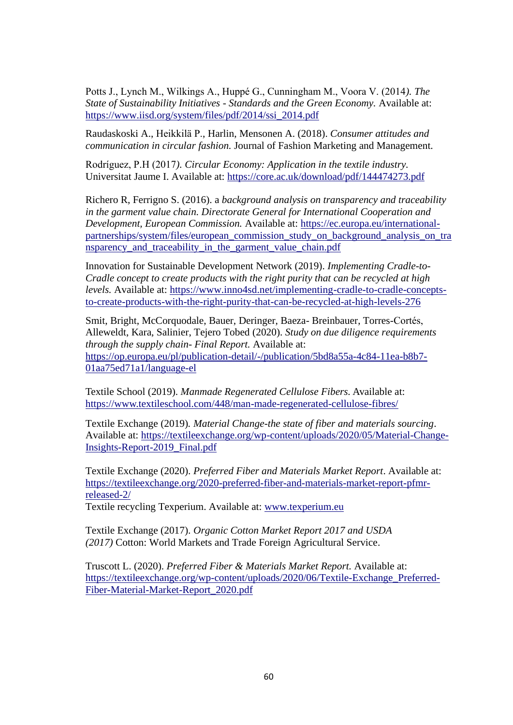Potts J., Lynch M., Wilkings A., Huppé G., Cunningham M., Voora V. (2014*). The State of Sustainability Initiatives - Standards and the Green Economy.* Available at: [https://www.iisd.org/system/files/pdf/2014/ssi\\_2014.pdf](https://www.iisd.org/system/files/pdf/2014/ssi_2014.pdf)

Raudaskoski A., Heikkilä P., Harlin, Mensonen A. (2018). *Consumer attitudes and communication in circular fashion.* Journal of Fashion Marketing and Management.

Rodríguez, P.H (2017*). Circular Economy: Application in the textile industry.*  Universitat Jaume I. Available at:<https://core.ac.uk/download/pdf/144474273.pdf>

Richero R, Ferrigno S. (2016). a *background analysis on transparency and traceability in the garment value chain. Directorate General for International Cooperation and Development, European Commission.* Available at: [https://ec.europa.eu/international](https://ec.europa.eu/international-partnerships/system/files/european_commission_study_on_background_analysis_on_transparency_and_traceability_in_the_garment_value_chain.pdf)[partnerships/system/files/european\\_commission\\_study\\_on\\_background\\_analysis\\_on\\_tra](https://ec.europa.eu/international-partnerships/system/files/european_commission_study_on_background_analysis_on_transparency_and_traceability_in_the_garment_value_chain.pdf) [nsparency\\_and\\_traceability\\_in\\_the\\_garment\\_value\\_chain.pdf](https://ec.europa.eu/international-partnerships/system/files/european_commission_study_on_background_analysis_on_transparency_and_traceability_in_the_garment_value_chain.pdf)

Innovation for Sustainable Development Network (2019). *Implementing Cradle-to-Cradle concept to create products with the right purity that can be recycled at high levels.* Available at: [https://www.inno4sd.net/implementing-cradle-to-cradle-concepts](https://www.inno4sd.net/implementing-cradle-to-cradle-concepts-to-create-products-with-the-right-purity-that-can-be-recycled-at-high-levels-276)[to-create-products-with-the-right-purity-that-can-be-recycled-at-high-levels-276](https://www.inno4sd.net/implementing-cradle-to-cradle-concepts-to-create-products-with-the-right-purity-that-can-be-recycled-at-high-levels-276)

Smit, Bright, McCorquodale, Bauer, Deringer, Baeza- Breinbauer, Torres-Cortés, Alleweldt, Kara, Salinier, Tejero Tobed (2020). *Study on due diligence requirements through the supply chain- Final Report.* Available at: [https://op.europa.eu/pl/publication-detail/-/publication/5bd8a55a-4c84-11ea-b8b7-](https://op.europa.eu/pl/publication-detail/-/publication/5bd8a55a-4c84-11ea-b8b7-01aa75ed71a1/language-el) [01aa75ed71a1/language-el](https://op.europa.eu/pl/publication-detail/-/publication/5bd8a55a-4c84-11ea-b8b7-01aa75ed71a1/language-el)

Textile School (2019). *Manmade Regenerated Cellulose Fibers.* Available at: <https://www.textileschool.com/448/man-made-regenerated-cellulose-fibres/>

Textile Exchange (2019)*. Material Change-the state of fiber and materials sourcing*. Available at: [https://textileexchange.org/wp-content/uploads/2020/05/Material-Change-](https://textileexchange.org/wp-content/uploads/2020/05/Material-Change-Insights-Report-2019_Final.pdf)[Insights-Report-2019\\_Final.pdf](https://textileexchange.org/wp-content/uploads/2020/05/Material-Change-Insights-Report-2019_Final.pdf)

Textile Exchange (2020). *Preferred Fiber and Materials Market Report*. Available at: [https://textileexchange.org/2020-preferred-fiber-and-materials-market-report-pfmr](https://textileexchange.org/2020-preferred-fiber-and-materials-market-report-pfmr-released-2/)[released-2/](https://textileexchange.org/2020-preferred-fiber-and-materials-market-report-pfmr-released-2/)

Textile recycling Texperium. Available at: [www.texperium.eu](http://www.texperium.eu/)

Textile Exchange (2017). *Organic Cotton Market Report 2017 and USDA (2017)* Cotton: World Markets and Trade Foreign Agricultural Service.

Truscott L. (2020). *Preferred Fiber & Materials Market Report.* Available at: [https://textileexchange.org/wp-content/uploads/2020/06/Textile-Exchange\\_Preferred-](https://textileexchange.org/wp-content/uploads/2020/06/Textile-Exchange_Preferred-Fiber-Material-Market-Report_2020.pdf)[Fiber-Material-Market-Report\\_2020.pdf](https://textileexchange.org/wp-content/uploads/2020/06/Textile-Exchange_Preferred-Fiber-Material-Market-Report_2020.pdf)